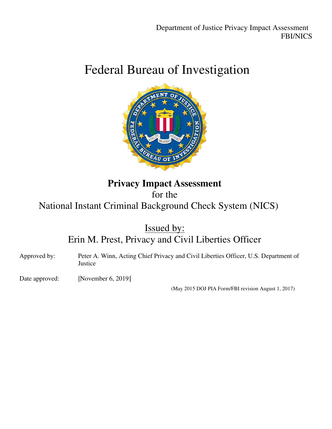# Federal Bureau of Investigation



## **Privacy Impact Assessment** for the National Instant Criminal Background Check System (NICS)

Issued by: Erin M. Prest, Privacy and Civil Liberties Officer



(May 2015 DOJ PIA Form/FBI revision August 1, 2017)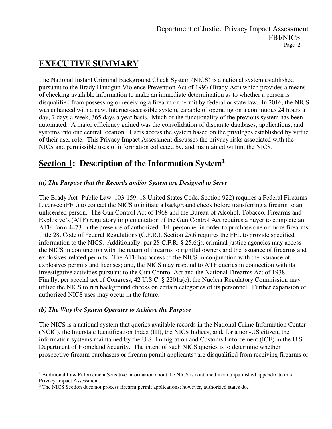## **EXECUTIVE SUMMARY**

The National Instant Criminal Background Check System (NICS) is a national system established pursuant to the Brady Handgun Violence Prevention Act of 1993 (Brady Act) which provides a means of checking available information to make an immediate determination as to whether a person is disqualified from possessing or receiving a firearm or permit by federal or state law. In 2016, the NICS was enhanced with a new, Internet-accessible system, capable of operating on a continuous 24 hours a day, 7 days a week, 365 days a year basis. Much of the functionality of the previous system has been automated. A major efficiency gained was the consolidation of disparate databases, applications, and systems into one central location. Users access the system based on the privileges established by virtue of their user role. This Privacy Impact Assessment discusses the privacy risks associated with the NICS and permissible uses of information collected by, and maintained within, the NICS.

## **Section 1: Description of the Information System<sup>1</sup>**

### *(a) The Purpose that the Records and/or System are Designed to Serve*

The Brady Act (Public Law. 103-159, 18 United States Code, Section 922) requires a Federal Firearms Licensee (FFL) to contact the NICS to initiate a background check before transferring a firearm to an unlicensed person. The Gun Control Act of 1968 and the Bureau of Alcohol, Tobacco, Firearms and Explosive's (ATF) regulatory implementation of the Gun Control Act requires a buyer to complete an ATF Form 4473 in the presence of authorized FFL personnel in order to purchase one or more firearms. Title 28, Code of Federal Regulations (C.F.R.), Section 25.6 requires the FFL to provide specified information to the NICS. Additionally, per 28 C.F.R. § 25.6(j), criminal justice agencies may access the NICS in conjunction with the return of firearms to rightful owners and the issuance of firearms and explosives-related permits. The ATF has access to the NICS in conjunction with the issuance of explosives permits and licenses; and, the NICS may respond to ATF queries in connection with its investigative activities pursuant to the Gun Control Act and the National Firearms Act of 1938. Finally, per special act of Congress, 42 U.S.C. § 2201a(c), the Nuclear Regulatory Commission may utilize the NICS to run background checks on certain categories of its personnel. Further expansion of authorized NICS uses may occur in the future.

### *(b) The Way the System Operates to Achieve the Purpose*

The NICS is a national system that queries available records in the National Crime Information Center (NCIC), the Interstate Identification Index (III), the NICS Indices, and, for a non-US citizen, the information systems maintained by the U.S. Immigration and Customs Enforcement (ICE) in the U.S. Department of Homeland Security. The intent of such NICS queries is to determine whether prospective firearm purchasers or firearm permit applicants<sup>2</sup> are disqualified from receiving firearms or

<sup>&</sup>lt;sup>1</sup> Additional Law Enforcement Sensitive information about the NICS is contained in an unpublished appendix to this Privacy Impact Assessment.

<sup>&</sup>lt;sup>2</sup> The NICS Section does not process firearm permit applications; however, authorized states do.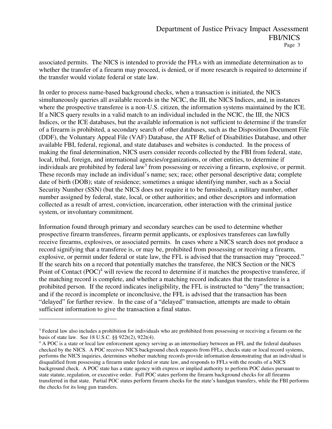associated permits. The NICS is intended to provide the FFLs with an immediate determination as to whether the transfer of a firearm may proceed, is denied, or if more research is required to determine if the transfer would violate federal or state law.

In order to process name-based background checks, when a transaction is initiated, the NICS simultaneously queries all available records in the NCIC, the III, the NICS Indices, and, in instances where the prospective transferee is a non-U.S. citizen, the information systems maintained by the ICE. If a NICS query results in a valid match to an individual included in the NCIC, the III, the NICS Indices, or the ICE databases, but the available information is not sufficient to determine if the transfer of a firearm is prohibited, a secondary search of other databases, such as the Disposition Document File (DDF), the Voluntary Appeal File (VAF) Database, the ATF Relief of Disabilities Database, and other available FBI, federal, regional, and state databases and websites is conducted. In the process of making the final determination, NICS users consider records collected by the FBI from federal, state, local, tribal, foreign, and international agencies/organizations, or other entities, to determine if individuals are prohibited by federal law<sup>3</sup> from possessing or receiving a firearm, explosive, or permit. These records may include an individual's name; sex; race; other personal descriptive data; complete date of birth (DOB); state of residence; sometimes a unique identifying number, such as a Social Security Number (SSN) (but the NICS does not require it to be furnished), a military number, other number assigned by federal, state, local, or other authorities; and other descriptors and information collected as a result of arrest, conviction, incarceration, other interaction with the criminal justice system, or involuntary commitment.

Information found through primary and secondary searches can be used to determine whether prospective firearm transferees, firearm permit applicants, or explosives transferees can lawfully receive firearms, explosives, or associated permits. In cases where a NICS search does not produce a record signifying that a transferee is, or may be, prohibited from possessing or receiving a firearm, explosive, or permit under federal or state law, the FFL is advised that the transaction may "proceed." If the search hits on a record that potentially matches the transferee, the NICS Section or the NICS Point of Contact  $(POC)^4$  will review the record to determine if it matches the prospective transferee, if the matching record is complete, and whether a matching record indicates that the transferee is a prohibited person. If the record indicates ineligibility, the FFL is instructed to "deny" the transaction; and if the record is incomplete or inconclusive, the FFL is advised that the transaction has been "delayed" for further review. In the case of a "delayed" transaction, attempts are made to obtain sufficient information to give the transaction a final status.

 $3$  Federal law also includes a prohibition for individuals who are prohibited from possessing or receiving a firearm on the basis of state law. See 18 U.S.C. §§ 922t(2), 922t(4).

<sup>&</sup>lt;sup>4</sup> A POC is a state or local law enforcement agency serving as an intermediary between an FFL and the federal databases checked by the NICS. A POC receives NICS background check requests from FFLs, checks state or local record systems, performs the NICS inquiries, determines whether matching records provide information demonstrating that an individual is disqualified from possessing a firearm under federal or state law, and responds to FFLs with the results of a NICS background check. A POC state has a state agency with express or implied authority to perform POC duties pursuant to state statute, regulation, or executive order. Full POC states perform the firearm background checks for all firearms transferred in that state. Partial POC states perform firearm checks for the state's handgun transfers, while the FBI performs the checks for its long gun transfers.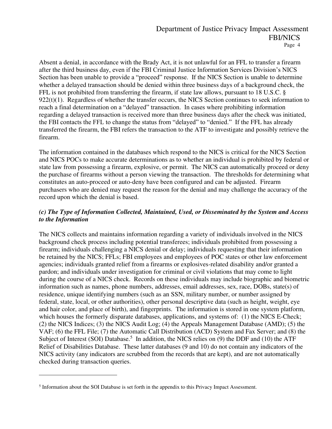Absent a denial, in accordance with the Brady Act, it is not unlawful for an FFL to transfer a firearm after the third business day, even if the FBI Criminal Justice Information Services Division's NICS Section has been unable to provide a "proceed" response. If the NICS Section is unable to determine whether a delayed transaction should be denied within three business days of a background check, the FFL is not prohibited from transferring the firearm, if state law allows, pursuant to 18 U.S.C. §  $922(t)(1)$ . Regardless of whether the transfer occurs, the NICS Section continues to seek information to reach a final determination on a "delayed" transaction. In cases where prohibiting information regarding a delayed transaction is received more than three business days after the check was initiated, the FBI contacts the FFL to change the status from "delayed" to "denied." If the FFL has already transferred the firearm, the FBI refers the transaction to the ATF to investigate and possibly retrieve the firearm.

The information contained in the databases which respond to the NICS is critical for the NICS Section and NICS POCs to make accurate determinations as to whether an individual is prohibited by federal or state law from possessing a firearm, explosive, or permit. The NICS can automatically proceed or deny the purchase of firearms without a person viewing the transaction. The thresholds for determining what constitutes an auto-proceed or auto-deny have been configured and can be adjusted. Firearm purchasers who are denied may request the reason for the denial and may challenge the accuracy of the record upon which the denial is based.

#### *(c) The Type of Information Collected, Maintained, Used, or Disseminated by the System and Access to the Information*

The NICS collects and maintains information regarding a variety of individuals involved in the NICS background check process including potential transferees; individuals prohibited from possessing a firearm; individuals challenging a NICS denial or delay; individuals requesting that their information be retained by the NICS; FFLs; FBI employees and employees of POC states or other law enforcement agencies; individuals granted relief from a firearms or explosives-related disability and/or granted a pardon; and individuals under investigation for criminal or civil violations that may come to light during the course of a NICS check. Records on these individuals may include biographic and biometric information such as names, phone numbers, addresses, email addresses, sex, race, DOBs, state(s) of residence, unique identifying numbers (such as an SSN, military number, or number assigned by federal, state, local, or other authorities), other personal descriptive data (such as height, weight, eye and hair color, and place of birth), and fingerprints. The information is stored in one system platform, which houses the formerly disparate databases, applications, and systems of: (1) the NICS E-Check; (2) the NICS Indices; (3) the NICS Audit Log; (4) the Appeals Management Database (AMD); (5) the VAF; (6) the FFL File; (7) the Automatic Call Distribution (ACD) System and Fax Server; and (8) the Subject of Interest (SOI) Database.<sup>5</sup> In addition, the NICS relies on (9) the DDF and (10) the ATF Relief of Disabilities Database. These latter databases (9 and 10) do not contain any indicators of the NICS activity (any indicators are scrubbed from the records that are kept), and are not automatically checked during transaction queries.

<sup>&</sup>lt;sup>5</sup> Information about the SOI Database is set forth in the appendix to this Privacy Impact Assessment.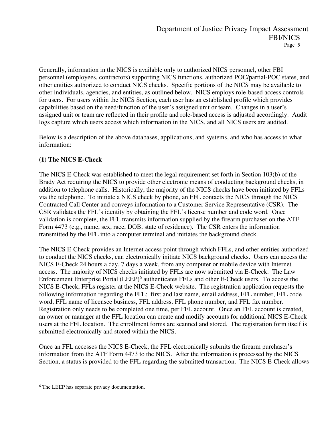Generally, information in the NICS is available only to authorized NICS personnel, other FBI personnel (employees, contractors) supporting NICS functions, authorized POC/partial-POC states, and other entities authorized to conduct NICS checks. Specific portions of the NICS may be available to other individuals, agencies, and entities, as outlined below. NICS employs role-based access controls for users. For users within the NICS Section, each user has an established profile which provides capabilities based on the need/function of the user's assigned unit or team. Changes in a user's assigned unit or team are reflected in their profile and role-based access is adjusted accordingly. Audit logs capture which users access which information in the NICS, and all NICS users are audited.

Below is a description of the above databases, applications, and systems, and who has access to what information:

### **(1) The NICS E-Check**

The NICS E-Check was established to meet the legal requirement set forth in Section 103(b) of the Brady Act requiring the NICS to provide other electronic means of conducting background checks, in addition to telephone calls. Historically, the majority of the NICS checks have been initiated by FFLs via the telephone. To initiate a NICS check by phone, an FFL contacts the NICS through the NICS Contracted Call Center and conveys information to a Customer Service Representative (CSR). The CSR validates the FFL's identity by obtaining the FFL's license number and code word. Once validation is complete, the FFL transmits information supplied by the firearm purchaser on the ATF Form 4473 (e.g., name, sex, race, DOB, state of residence). The CSR enters the information transmitted by the FFL into a computer terminal and initiates the background check.

The NICS E-Check provides an Internet access point through which FFLs, and other entities authorized to conduct the NICS checks, can electronically initiate NICS background checks. Users can access the NICS E-Check 24 hours a day, 7 days a week, from any computer or mobile device with Internet access. The majority of NICS checks initiated by FFLs are now submitted via E-Check. The Law Enforcement Enterprise Portal (LEEP)<sup>6</sup> authenticates FFLs and other E-Check users. To access the NICS E-Check, FFLs register at the NICS E-Check website. The registration application requests the following information regarding the FFL: first and last name, email address, FFL number, FFL code word, FFL name of licensee business, FFL address, FFL phone number, and FFL fax number. Registration only needs to be completed one time, per FFL account. Once an FFL account is created, an owner or manager at the FFL location can create and modify accounts for additional NICS E-Check users at the FFL location. The enrollment forms are scanned and stored. The registration form itself is submitted electronically and stored within the NICS.

Once an FFL accesses the NICS E-Check, the FFL electronically submits the firearm purchaser's information from the ATF Form 4473 to the NICS. After the information is processed by the NICS Section, a status is provided to the FFL regarding the submitted transaction. The NICS E-Check allows

<sup>6</sup> The LEEP has separate privacy documentation.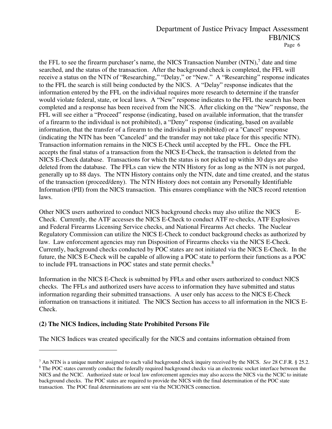the FFL to see the firearm purchaser's name, the NICS Transaction Number (NTN),<sup>7</sup> date and time searched, and the status of the transaction. After the background check is completed, the FFL will receive a status on the NTN of "Researching," "Delay," or "New." A "Researching" response indicates to the FFL the search is still being conducted by the NICS. A "Delay" response indicates that the information entered by the FFL on the individual requires more research to determine if the transfer would violate federal, state, or local laws. A "New" response indicates to the FFL the search has been completed and a response has been received from the NICS. After clicking on the "New" response, the FFL will see either a "Proceed" response (indicating, based on available information, that the transfer of a firearm to the individual is not prohibited), a "Deny" response (indicating, based on available information, that the transfer of a firearm to the individual is prohibited) or a "Cancel" response (indicating the NTN has been "Canceled" and the transfer may not take place for this specific NTN). Transaction information remains in the NICS E-Check until accepted by the FFL. Once the FFL accepts the final status of a transaction from the NICS E-Check, the transaction is deleted from the NICS E-Check database. Transactions for which the status is not picked up within 30 days are also deleted from the database. The FFLs can view the NTN History for as long as the NTN is not purged, generally up to 88 days. The NTN History contains only the NTN, date and time created, and the status of the transaction (proceed/deny). The NTN History does not contain any Personally Identifiable Information (PII) from the NICS transaction. This ensures compliance with the NICS record retention laws.

Other NICS users authorized to conduct NICS background checks may also utilize the NICS E-Check. Currently, the ATF accesses the NICS E-Check to conduct ATF re-checks, ATF Explosives and Federal Firearms Licensing Service checks, and National Firearms Act checks. The Nuclear Regulatory Commission can utilize the NICS E-Check to conduct background checks as authorized by law. Law enforcement agencies may run Disposition of Firearms checks via the NICS E-Check. Currently, background checks conducted by POC states are not initiated via the NICS E-Check. In the future, the NICS E-Check will be capable of allowing a POC state to perform their functions as a POC to include FFL transactions in POC states and state permit checks. $8$ 

Information in the NICS E-Check is submitted by FFLs and other users authorized to conduct NICS checks. The FFLs and authorized users have access to information they have submitted and status information regarding their submitted transactions. A user only has access to the NICS E-Check information on transactions it initiated. The NICS Section has access to all information in the NICS E-Check.

#### **(2) The NICS Indices, including State Prohibited Persons File**

The NICS Indices was created specifically for the NICS and contains information obtained from

<sup>7</sup> An NTN is a unique number assigned to each valid background check inquiry received by the NICS. *See* 28 C.F.R. § 25.2. <sup>8</sup> The POC states currently conduct the federally required background checks via an electronic socket interface between the NICS and the NCIC. Authorized state or local law enforcement agencies may also access the NICS via the NCIC to initiate background checks. The POC states are required to provide the NICS with the final determination of the POC state transaction. The POC final determinations are sent via the NCIC/NICS connection.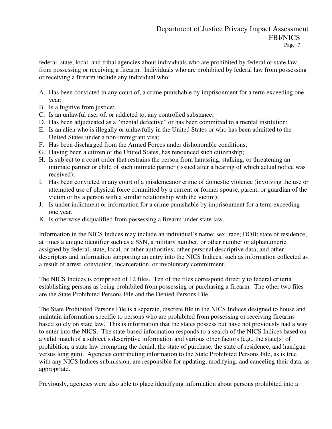federal, state, local, and tribal agencies about individuals who are prohibited by federal or state law from possessing or receiving a firearm. Individuals who are prohibited by federal law from possessing or receiving a firearm include any individual who:

- A. Has been convicted in any court of, a crime punishable by imprisonment for a term exceeding one year;
- B. Is a fugitive from justice;
- C. Is an unlawful user of, or addicted to, any controlled substance;
- D. Has been adjudicated as a "mental defective" or has been committed to a mental institution;
- E. Is an alien who is illegally or unlawfully in the United States or who has been admitted to the United States under a non-immigrant visa;
- F. Has been discharged from the Armed Forces under dishonorable conditions;
- G. Having been a citizen of the United States, has renounced such citizenship;
- H. Is subject to a court order that restrains the person from harassing, stalking, or threatening an intimate partner or child of such intimate partner (issued after a hearing of which actual notice was received);
- I. Has been convicted in any court of a misdemeanor crime of domestic violence (involving the use or attempted use of physical force committed by a current or former spouse, parent, or guardian of the victim or by a person with a similar relationship with the victim);
- J. Is under indictment or information for a crime punishable by imprisonment for a term exceeding one year.
- K. Is otherwise disqualified from possessing a firearm under state law.

Information in the NICS Indices may include an individual's name; sex; race; DOB; state of residence; at times a unique identifier such as a SSN, a military number, or other number or alphanumeric assigned by federal, state, local, or other authorities; other personal descriptive data; and other descriptors and information supporting an entry into the NICS Indices, such as information collected as a result of arrest, conviction, incarceration, or involuntary commitment.

The NICS Indices is comprised of 12 files. Ten of the files correspond directly to federal criteria establishing persons as being prohibited from possessing or purchasing a firearm. The other two files are the State Prohibited Persons File and the Denied Persons File.

The State Prohibited Persons File is a separate, discrete file in the NICS Indices designed to house and maintain information specific to persons who are prohibited from possessing or receiving firearms based solely on state law. This is information that the states possess but have not previously had a way to enter into the NICS. The state-based information responds to a search of the NICS Indices based on a valid match of a subject's descriptive information and various other factors (e.g., the state[s] of prohibition, a state law prompting the denial, the state of purchase, the state of residence, and handgun versus long gun). Agencies contributing information to the State Prohibited Persons File, as is true with any NICS Indices submission, are responsible for updating, modifying, and canceling their data, as appropriate.

Previously, agencies were also able to place identifying information about persons prohibited into a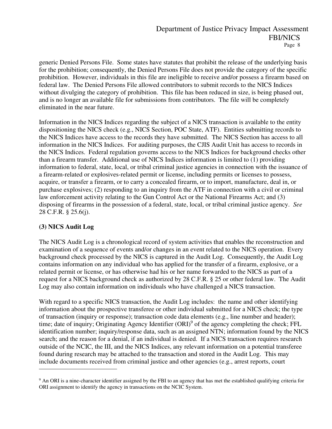generic Denied Persons File. Some states have statutes that prohibit the release of the underlying basis for the prohibition; consequently, the Denied Persons File does not provide the category of the specific prohibition. However, individuals in this file are ineligible to receive and/or possess a firearm based on federal law. The Denied Persons File allowed contributors to submit records to the NICS Indices without divulging the category of prohibition. This file has been reduced in size, is being phased out, and is no longer an available file for submissions from contributors. The file will be completely eliminated in the near future.

Information in the NICS Indices regarding the subject of a NICS transaction is available to the entity dispositioning the NICS check (e.g., NICS Section, POC State, ATF). Entities submitting records to the NICS Indices have access to the records they have submitted. The NICS Section has access to all information in the NICS Indices. For auditing purposes, the CJIS Audit Unit has access to records in the NICS Indices. Federal regulation governs access to the NICS Indices for background checks other than a firearm transfer. Additional use of NICS Indices information is limited to (1) providing information to federal, state, local, or tribal criminal justice agencies in connection with the issuance of a firearm-related or explosives-related permit or license, including permits or licenses to possess, acquire, or transfer a firearm, or to carry a concealed firearm, or to import, manufacture, deal in, or purchase explosives; (2) responding to an inquiry from the ATF in connection with a civil or criminal law enforcement activity relating to the Gun Control Act or the National Firearms Act; and (3) disposing of firearms in the possession of a federal, state, local, or tribal criminal justice agency. *See*  28 C.F.R. § 25.6(j).

#### **(3) NICS Audit Log**

The NICS Audit Log is a chronological record of system activities that enables the reconstruction and examination of a sequence of events and/or changes in an event related to the NICS operation. Every background check processed by the NICS is captured in the Audit Log. Consequently, the Audit Log contains information on any individual who has applied for the transfer of a firearm, explosive, or a related permit or license, or has otherwise had his or her name forwarded to the NICS as part of a request for a NICS background check as authorized by 28 C.F.R. § 25 or other federal law. The Audit Log may also contain information on individuals who have challenged a NICS transaction.

With regard to a specific NICS transaction, the Audit Log includes: the name and other identifying information about the prospective transferee or other individual submitted for a NICS check; the type of transaction (inquiry or response); transaction code data elements (e.g., line number and header); time; date of inquiry; Originating Agency Identifier (ORI)<sup>9</sup> of the agency completing the check; FFL identification number; inquiry/response data, such as an assigned NTN; information found by the NICS search; and the reason for a denial, if an individual is denied. If a NICS transaction requires research outside of the NCIC, the III, and the NICS Indices, any relevant information on a potential transferee found during research may be attached to the transaction and stored in the Audit Log. This may include documents received from criminal justice and other agencies (e.g., arrest reports, court

 $9$  An ORI is a nine-character identifier assigned by the FBI to an agency that has met the established qualifying criteria for ORI assignment to identify the agency in transactions on the NCIC System.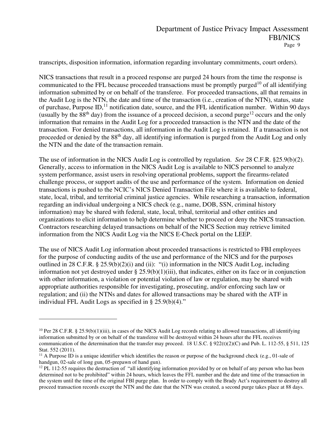transcripts, disposition information, information regarding involuntary commitments, court orders).

NICS transactions that result in a proceed response are purged 24 hours from the time the response is communicated to the FFL because proceeded transactions must be promptly purged<sup>10</sup> of all identifying information submitted by or on behalf of the transferee. For proceeded transactions, all that remains in the Audit Log is the NTN, the date and time of the transaction (i.e*.*, creation of the NTN), status, state of purchase, Purpose ID,<sup>11</sup> notification date, source, and the FFL identification number. Within 90 days (usually by the  $88<sup>th</sup>$  day) from the issuance of a proceed decision, a second purge<sup>12</sup> occurs and the only information that remains in the Audit Log for a proceeded transaction is the NTN and the date of the transaction. For denied transactions, all information in the Audit Log is retained. If a transaction is not proceeded or denied by the 88th day, all identifying information is purged from the Audit Log and only the NTN and the date of the transaction remain.

The use of information in the NICS Audit Log is controlled by regulation. *See* 28 C.F.R. §25.9(b)(2). Generally, access to information in the NICS Audit Log is available to NICS personnel to analyze system performance, assist users in resolving operational problems, support the firearms-related challenge process, or support audits of the use and performance of the system. Information on denied transactions is pushed to the NCIC's NICS Denied Transaction File where it is available to federal, state, local, tribal, and territorial criminal justice agencies. While researching a transaction, information regarding an individual undergoing a NICS check (e.g., name, DOB, SSN, criminal history information) may be shared with federal, state, local, tribal, territorial and other entities and organizations to elicit information to help determine whether to proceed or deny the NICS transaction. Contractors researching delayed transactions on behalf of the NICS Section may retrieve limited information from the NICS Audit Log via the NICS E-Check portal on the LEEP.

The use of NICS Audit Log information about proceeded transactions is restricted to FBI employees for the purpose of conducting audits of the use and performance of the NICS and for the purposes outlined in 28 C.F.R. § 25.9(b)(2)(i) and (ii): "(i) information in the NICS Audit Log, including information not yet destroyed under  $\S 25.9(b)(1)(iii)$ , that indicates, either on its face or in conjunction with other information, a violation or potential violation of law or regulation, may be shared with appropriate authorities responsible for investigating, prosecuting, and/or enforcing such law or regulation; and (ii) the NTNs and dates for allowed transactions may be shared with the ATF in individual FFL Audit Logs as specified in § 25.9(b)(4)."

<sup>&</sup>lt;sup>10</sup> Per 28 C.F.R. § 25.9(b)(1)(iii), in cases of the NICS Audit Log records relating to allowed transactions, all identifying information submitted by or on behalf of the transferee will be destroyed within 24 hours after the FFL receives communication of the determination that the transfer may proceed. 18 U.S.C. § 922(t)(2)(C) and Pub. L. 112-55, § 511, 125 Stat. 552 (2011).

 $11$  A Purpose ID is a unique identifier which identifies the reason or purpose of the background check (e.g., 01-sale of handgun, 02-sale of long gun, 05-prepawn of hand gun).

 $12$  PL 112-55 requires the destruction of "all identifying information provided by or on behalf of any person who has been determined not to be prohibited" within 24 hours, which leaves the FFL number and the date and time of the transaction in the system until the time of the original FBI purge plan. In order to comply with the Brady Act's requirement to destroy all proceed transaction records except the NTN and the date that the NTN was created, a second purge takes place at 88 days.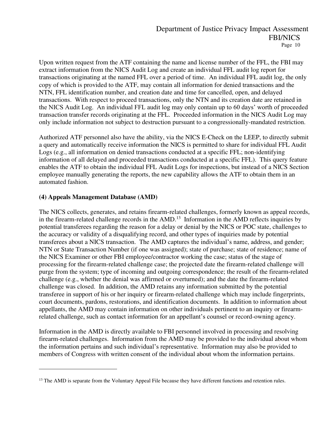Upon written request from the ATF containing the name and license number of the FFL, the FBI may extract information from the NICS Audit Log and create an individual FFL audit log report for transactions originating at the named FFL over a period of time. An individual FFL audit log, the only copy of which is provided to the ATF, may contain all information for denied transactions and the NTN, FFL identification number, and creation date and time for cancelled, open, and delayed transactions. With respect to proceed transactions, only the NTN and its creation date are retained in the NICS Audit Log. An individual FFL audit log may only contain up to 60 days' worth of proceeded transaction transfer records originating at the FFL. Proceeded information in the NICS Audit Log may only include information not subject to destruction pursuant to a congressionally-mandated restriction.

Authorized ATF personnel also have the ability, via the NICS E-Check on the LEEP, to directly submit a query and automatically receive information the NICS is permitted to share for individual FFL Audit Logs (e.g., all information on denied transactions conducted at a specific FFL; non-identifying information of all delayed and proceeded transactions conducted at a specific FFL). This query feature enables the ATF to obtain the individual FFL Audit Logs for inspections, but instead of a NICS Section employee manually generating the reports, the new capability allows the ATF to obtain them in an automated fashion.

#### **(4) Appeals Management Database (AMD)**

The NICS collects, generates, and retains firearm-related challenges, formerly known as appeal records, in the firearm-related challenge records in the AMD.<sup>13</sup> Information in the AMD reflects inquiries by potential transferees regarding the reason for a delay or denial by the NICS or POC state, challenges to the accuracy or validity of a disqualifying record, and other types of inquiries made by potential transferees about a NICS transaction. The AMD captures the individual's name, address, and gender; NTN or State Transaction Number (if one was assigned); state of purchase; state of residence; name of the NICS Examiner or other FBI employee/contractor working the case; status of the stage of processing for the firearm-related challenge case; the projected date the firearm-related challenge will purge from the system; type of incoming and outgoing correspondence; the result of the firearm-related challenge (e.g., whether the denial was affirmed or overturned); and the date the firearm-related challenge was closed. In addition, the AMD retains any information submitted by the potential transferee in support of his or her inquiry or firearm-related challenge which may include fingerprints, court documents, pardons, restorations, and identification documents. In addition to information about appellants, the AMD may contain information on other individuals pertinent to an inquiry or firearmrelated challenge, such as contact information for an appellant's counsel or record-owning agency.

Information in the AMD is directly available to FBI personnel involved in processing and resolving firearm-related challenges. Information from the AMD may be provided to the individual about whom the information pertains and such individual's representative. Information may also be provided to members of Congress with written consent of the individual about whom the information pertains.

<sup>&</sup>lt;sup>13</sup> The AMD is separate from the Voluntary Appeal File because they have different functions and retention rules.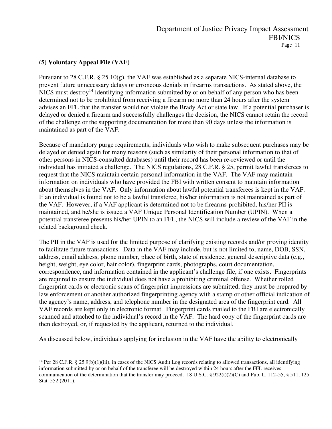### **(5) Voluntary Appeal File (VAF)**

Pursuant to 28 C.F.R. § 25.10(g), the VAF was established as a separate NICS-internal database to prevent future unnecessary delays or erroneous denials in firearms transactions. As stated above, the NICS must destroy<sup>14</sup> identifying information submitted by or on behalf of any person who has been determined not to be prohibited from receiving a firearm no more than 24 hours after the system advises an FFL that the transfer would not violate the Brady Act or state law. If a potential purchaser is delayed or denied a firearm and successfully challenges the decision, the NICS cannot retain the record of the challenge or the supporting documentation for more than 90 days unless the information is maintained as part of the VAF.

Because of mandatory purge requirements, individuals who wish to make subsequent purchases may be delayed or denied again for many reasons (such as similarity of their personal information to that of other persons in NICS-consulted databases) until their record has been re-reviewed or until the individual has initiated a challenge. The NICS regulations, 28 C.F.R. § 25, permit lawful transferees to request that the NICS maintain certain personal information in the VAF. The VAF may maintain information on individuals who have provided the FBI with written consent to maintain information about themselves in the VAF. Only information about lawful potential transferees is kept in the VAF. If an individual is found not to be a lawful transferee, his/her information is not maintained as part of the VAF. However, if a VAF applicant is determined not to be firearms-prohibited, his/her PII is maintained, and he/she is issued a VAF Unique Personal Identification Number (UPIN). When a potential transferee presents his/her UPIN to an FFL, the NICS will include a review of the VAF in the related background check.

The PII in the VAF is used for the limited purpose of clarifying existing records and/or proving identity to facilitate future transactions. Data in the VAF may include, but is not limited to, name, DOB, SSN, address, email address, phone number, place of birth, state of residence, general descriptive data (e.g., height, weight, eye color, hair color), fingerprint cards, photographs, court documentation, correspondence, and information contained in the applicant's challenge file, if one exists. Fingerprints are required to ensure the individual does not have a prohibiting criminal offense. Whether rolled fingerprint cards or electronic scans of fingerprint impressions are submitted, they must be prepared by law enforcement or another authorized fingerprinting agency with a stamp or other official indication of the agency's name, address, and telephone number in the designated area of the fingerprint card. All VAF records are kept only in electronic format. Fingerprint cards mailed to the FBI are electronically scanned and attached to the individual's record in the VAF. The hard copy of the fingerprint cards are then destroyed, or, if requested by the applicant, returned to the individual.

As discussed below, individuals applying for inclusion in the VAF have the ability to electronically

<sup>&</sup>lt;sup>14</sup> Per 28 C.F.R. § 25.9(b)(1)(iii), in cases of the NICS Audit Log records relating to allowed transactions, all identifying information submitted by or on behalf of the transferee will be destroyed within 24 hours after the FFL receives communication of the determination that the transfer may proceed. 18 U.S.C. § 922(t)(2)(C) and Pub. L. 112-55, § 511, 125 Stat. 552 (2011).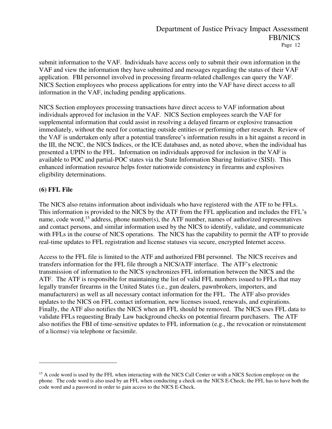submit information to the VAF. Individuals have access only to submit their own information in the VAF and view the information they have submitted and messages regarding the status of their VAF application. FBI personnel involved in processing firearm-related challenges can query the VAF. NICS Section employees who process applications for entry into the VAF have direct access to all information in the VAF, including pending applications.

NICS Section employees processing transactions have direct access to VAF information about individuals approved for inclusion in the VAF. NICS Section employees search the VAF for supplemental information that could assist in resolving a delayed firearm or explosive transaction immediately, without the need for contacting outside entities or performing other research. Review of the VAF is undertaken only after a potential transferee's information results in a hit against a record in the III, the NCIC, the NICS Indices, or the ICE databases and, as noted above, when the individual has presented a UPIN to the FFL. Information on individuals approved for inclusion in the VAF is available to POC and partial-POC states via the State Information Sharing Initiative (SISI). This enhanced information resource helps foster nationwide consistency in firearms and explosives eligibility determinations.

#### **(6) FFL File**

The NICS also retains information about individuals who have registered with the ATF to be FFLs. This information is provided to the NICS by the ATF from the FFL application and includes the FFL's name, code word,<sup>15</sup> address, phone number(s), the ATF number, names of authorized representatives and contact persons, and similar information used by the NICS to identify, validate, and communicate with FFLs in the course of NICS operations. The NICS has the capability to permit the ATF to provide real-time updates to FFL registration and license statuses via secure, encrypted Internet access.

Access to the FFL file is limited to the ATF and authorized FBI personnel. The NICS receives and transfers information for the FFL file through a NICS/ATF interface. The ATF's electronic transmission of information to the NICS synchronizes FFL information between the NICS and the ATF. The ATF is responsible for maintaining the list of valid FFL numbers issued to FFLs that may legally transfer firearms in the United States (i.e., gun dealers, pawnbrokers, importers, and manufacturers) as well as all necessary contact information for the FFL. The ATF also provides updates to the NICS on FFL contact information, new licenses issued, renewals, and expirations. Finally, the ATF also notifies the NICS when an FFL should be removed. The NICS uses FFL data to validate FFLs requesting Brady Law background checks on potential firearm purchasers. The ATF also notifies the FBI of time-sensitive updates to FFL information (e.g., the revocation or reinstatement of a license) via telephone or facsimile.

<sup>&</sup>lt;sup>15</sup> A code word is used by the FFL when interacting with the NICS Call Center or with a NICS Section employee on the phone. The code word is also used by an FFL when conducting a check on the NICS E-Check; the FFL has to have both the code word and a password in order to gain access to the NICS E-Check.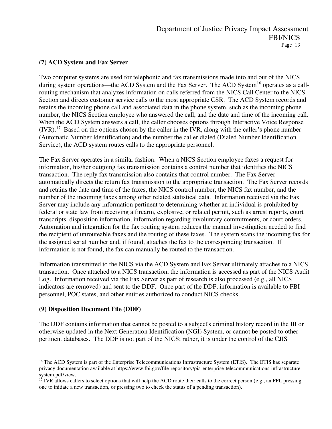#### **(7) ACD System and Fax Server**

Two computer systems are used for telephonic and fax transmissions made into and out of the NICS during system operations—the ACD System and the Fax Server. The ACD System<sup>16</sup> operates as a callrouting mechanism that analyzes information on calls referred from the NICS Call Center to the NICS Section and directs customer service calls to the most appropriate CSR. The ACD System records and retains the incoming phone call and associated data in the phone system, such as the incoming phone number, the NICS Section employee who answered the call, and the date and time of the incoming call. When the ACD System answers a call, the caller chooses options through Interactive Voice Response  $(IVR).$ <sup>17</sup> Based on the options chosen by the caller in the IVR, along with the caller's phone number (Automatic Number Identification) and the number the caller dialed (Dialed Number Identification Service), the ACD system routes calls to the appropriate personnel.

The Fax Server operates in a similar fashion. When a NICS Section employee faxes a request for information, his/her outgoing fax transmission contains a control number that identifies the NICS transaction. The reply fax transmission also contains that control number. The Fax Server automatically directs the return fax transmission to the appropriate transaction. The Fax Server records and retains the date and time of the faxes, the NICS control number, the NICS fax number, and the number of the incoming faxes among other related statistical data. Information received via the Fax Server may include any information pertinent to determining whether an individual is prohibited by federal or state law from receiving a firearm, explosive, or related permit, such as arrest reports, court transcripts, disposition information, information regarding involuntary commitments, or court orders. Automation and integration for the fax routing system reduces the manual investigation needed to find the recipient of unrouteable faxes and the routing of these faxes. The system scans the incoming fax for the assigned serial number and, if found, attaches the fax to the corresponding transaction. If information is not found, the fax can manually be routed to the transaction.

Information transmitted to the NICS via the ACD System and Fax Server ultimately attaches to a NICS transaction. Once attached to a NICS transaction, the information is accessed as part of the NICS Audit Log. Information received via the Fax Server as part of research is also processed (e.g., all NICS indicators are removed) and sent to the DDF. Once part of the DDF, information is available to FBI personnel, POC states, and other entities authorized to conduct NICS checks.

#### **(9) Disposition Document File (DDF)**

The DDF contains information that cannot be posted to a subject's criminal history record in the III or otherwise updated in the Next Generation Identification (NGI) System, or cannot be posted to other pertinent databases. The DDF is not part of the NICS; rather, it is under the control of the CJIS

<sup>&</sup>lt;sup>16</sup> The ACD System is part of the Enterprise Telecommunications Infrastructure System (ETIS). The ETIS has separate privacy documentation available at https://www.fbi.gov/file-repository/pia-enterprise-telecommunications-infrastructuresystem.pdf/view.

 $17$  IVR allows callers to select options that will help the ACD route their calls to the correct person (e.g., an FFL pressing one to initiate a new transaction, or pressing two to check the status of a pending transaction).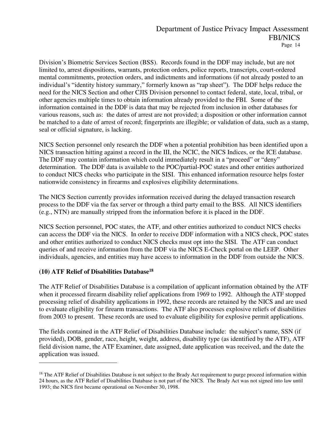Division's Biometric Services Section (BSS). Records found in the DDF may include, but are not limited to, arrest dispositions, warrants, protection orders, police reports, transcripts, court-ordered mental commitments, protection orders, and indictments and informations (if not already posted to an individual's "identity history summary," formerly known as "rap sheet"). The DDF helps reduce the need for the NICS Section and other CJIS Division personnel to contact federal, state, local, tribal, or other agencies multiple times to obtain information already provided to the FBI. Some of the information contained in the DDF is data that may be rejected from inclusion in other databases for various reasons, such as: the dates of arrest are not provided; a disposition or other information cannot be matched to a date of arrest of record; fingerprints are illegible; or validation of data, such as a stamp, seal or official signature, is lacking.

NICS Section personnel only research the DDF when a potential prohibition has been identified upon a NICS transaction hitting against a record in the III, the NCIC, the NICS Indices, or the ICE database. The DDF may contain information which could immediately result in a "proceed" or "deny" determination. The DDF data is available to the POC/partial-POC states and other entities authorized to conduct NICS checks who participate in the SISI. This enhanced information resource helps foster nationwide consistency in firearms and explosives eligibility determinations.

The NICS Section currently provides information received during the delayed transaction research process to the DDF via the fax server or through a third party email to the BSS. All NICS identifiers (e.g., NTN) are manually stripped from the information before it is placed in the DDF.

NICS Section personnel, POC states, the ATF, and other entities authorized to conduct NICS checks can access the DDF via the NICS. In order to receive DDF information with a NICS check, POC states and other entities authorized to conduct NICS checks must opt into the SISI. The ATF can conduct queries of and receive information from the DDF via the NICS E-Check portal on the LEEP. Other individuals, agencies, and entities may have access to information in the DDF from outside the NICS.

#### **(10) ATF Relief of Disabilities Database<sup>18</sup>**

The ATF Relief of Disabilities Database is a compilation of applicant information obtained by the ATF when it processed firearm disability relief applications from 1969 to 1992. Although the ATF stopped processing relief of disability applications in 1992, these records are retained by the NICS and are used to evaluate eligibility for firearm transactions. The ATF also processes explosive reliefs of disabilities from 2003 to present. These records are used to evaluate eligibility for explosive permit applications.

The fields contained in the ATF Relief of Disabilities Database include: the subject's name, SSN (if provided), DOB, gender, race, height, weight, address, disability type (as identified by the ATF), ATF field division name, the ATF Examiner, date assigned, date application was received, and the date the application was issued.

<sup>&</sup>lt;sup>18</sup> The ATF Relief of Disabilities Database is not subject to the Brady Act requirement to purge proceed information within 24 hours, as the ATF Relief of Disabilities Database is not part of the NICS. The Brady Act was not signed into law until 1993; the NICS first became operational on November 30, 1998.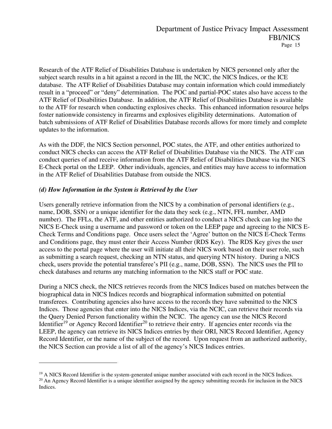Research of the ATF Relief of Disabilities Database is undertaken by NICS personnel only after the subject search results in a hit against a record in the III, the NCIC, the NICS Indices, or the ICE database. The ATF Relief of Disabilities Database may contain information which could immediately result in a "proceed" or "deny" determination. The POC and partial-POC states also have access to the ATF Relief of Disabilities Database. In addition, the ATF Relief of Disabilities Database is available to the ATF for research when conducting explosives checks. This enhanced information resource helps foster nationwide consistency in firearms and explosives eligibility determinations. Automation of batch submissions of ATF Relief of Disabilities Database records allows for more timely and complete updates to the information.

As with the DDF, the NICS Section personnel, POC states, the ATF, and other entities authorized to conduct NICS checks can access the ATF Relief of Disabilities Database via the NICS. The ATF can conduct queries of and receive information from the ATF Relief of Disabilities Database via the NICS E-Check portal on the LEEP. Other individuals, agencies, and entities may have access to information in the ATF Relief of Disabilities Database from outside the NICS.

#### *(d) How Information in the System is Retrieved by the User*

Users generally retrieve information from the NICS by a combination of personal identifiers (e.g., name, DOB, SSN) or a unique identifier for the data they seek (e.g., NTN, FFL number, AMD number). The FFLs, the ATF, and other entities authorized to conduct a NICS check can log into the NICS E-Check using a username and password or token on the LEEP page and agreeing to the NICS E-Check Terms and Conditions page. Once users select the 'Agree' button on the NICS E-Check Terms and Conditions page, they must enter their Access Number (RDS Key). The RDS Key gives the user access to the portal page where the user will initiate all their NICS work based on their user role, such as submitting a search request, checking an NTN status, and querying NTN history. During a NICS check, users provide the potential transferee's PII (e.g., name, DOB, SSN). The NICS uses the PII to check databases and returns any matching information to the NICS staff or POC state.

During a NICS check, the NICS retrieves records from the NICS Indices based on matches between the biographical data in NICS Indices records and biographical information submitted on potential transferees. Contributing agencies also have access to the records they have submitted to the NICS Indices. Those agencies that enter into the NICS Indices, via the NCIC, can retrieve their records via the Query Denied Person functionality within the NCIC. The agency can use the NICS Record Identifier<sup>19</sup> or Agency Record Identifier<sup>20</sup> to retrieve their entry. If agencies enter records via the LEEP, the agency can retrieve its NICS Indices entries by their ORI, NICS Record Identifier, Agency Record Identifier, or the name of the subject of the record. Upon request from an authorized authority, the NICS Section can provide a list of all of the agency's NICS Indices entries.

<sup>&</sup>lt;sup>19</sup> A NICS Record Identifier is the system-generated unique number associated with each record in the NICS Indices. <sup>20</sup> An Agency Record Identifier is a unique identifier assigned by the agency submitting records for inclusion in the NICS Indices.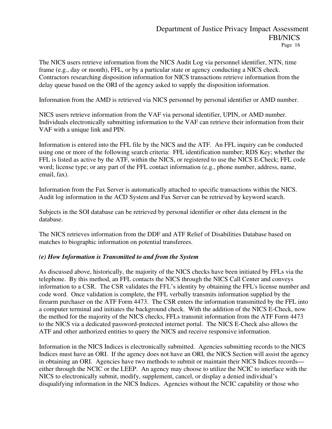The NICS users retrieve information from the NICS Audit Log via personnel identifier, NTN, time frame (e.g., day or month), FFL, or by a particular state or agency conducting a NICS check. Contractors researching disposition information for NICS transactions retrieve information from the delay queue based on the ORI of the agency asked to supply the disposition information.

Information from the AMD is retrieved via NICS personnel by personal identifier or AMD number.

NICS users retrieve information from the VAF via personal identifier, UPIN, or AMD number. Individuals electronically submitting information to the VAF can retrieve their information from their VAF with a unique link and PIN.

Information is entered into the FFL file by the NICS and the ATF. An FFL inquiry can be conducted using one or more of the following search criteria: FFL identification number; RDS Key; whether the FFL is listed as active by the ATF, within the NICS, or registered to use the NICS E-Check; FFL code word; license type; or any part of the FFL contact information (e.g., phone number, address, name, email, fax).

Information from the Fax Server is automatically attached to specific transactions within the NICS. Audit log information in the ACD System and Fax Server can be retrieved by keyword search.

Subjects in the SOI database can be retrieved by personal identifier or other data element in the database.

The NICS retrieves information from the DDF and ATF Relief of Disabilities Database based on matches to biographic information on potential transferees.

#### *(e) How Information is Transmitted to and from the System*

As discussed above, historically, the majority of the NICS checks have been initiated by FFLs via the telephone. By this method, an FFL contacts the NICS through the NICS Call Center and conveys information to a CSR. The CSR validates the FFL's identity by obtaining the FFL's license number and code word. Once validation is complete, the FFL verbally transmits information supplied by the firearm purchaser on the ATF Form 4473. The CSR enters the information transmitted by the FFL into a computer terminal and initiates the background check. With the addition of the NICS E-Check, now the method for the majority of the NICS checks, FFLs transmit information from the ATF Form 4473 to the NICS via a dedicated password-protected internet portal. The NICS E-Check also allows the ATF and other authorized entities to query the NICS and receive responsive information.

Information in the NICS Indices is electronically submitted. Agencies submitting records to the NICS Indices must have an ORI. If the agency does not have an ORI, the NICS Section will assist the agency in obtaining an ORI. Agencies have two methods to submit or maintain their NICS Indices records either through the NCIC or the LEEP. An agency may choose to utilize the NCIC to interface with the NICS to electronically submit, modify, supplement, cancel, or display a denied individual's disqualifying information in the NICS Indices. Agencies without the NCIC capability or those who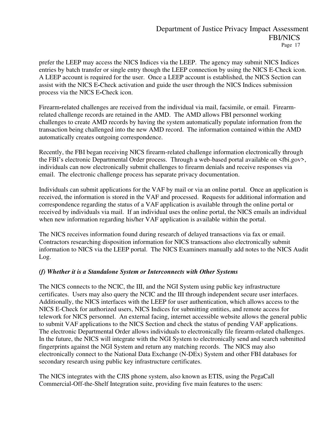prefer the LEEP may access the NICS Indices via the LEEP. The agency may submit NICS Indices entries by batch transfer or single entry though the LEEP connection by using the NICS E-Check icon. A LEEP account is required for the user. Once a LEEP account is established, the NICS Section can assist with the NICS E**-**Check activation and guide the user through the NICS Indices submission process via the NICS E**-**Check icon.

Firearm**-**related challenges are received from the individual via mail, facsimile, or email. Firearmrelated challenge records are retained in the AMD. The AMD allows FBI personnel working challenges to create AMD records by having the system automatically populate information from the transaction being challenged into the new AMD record. The information contained within the AMD automatically creates outgoing correspondence.

Recently, the FBI began receiving NICS firearm-related challenge information electronically through the FBI's electronic Departmental Order process. Through a web-based portal available on <fbi.gov>, individuals can now electronically submit challenges to firearm denials and receive responses via email. The electronic challenge process has separate privacy documentation.

Individuals can submit applications for the VAF by mail or via an online portal. Once an application is received, the information is stored in the VAF and processed. Requests for additional information and correspondence regarding the status of a VAF application is available through the online portal or received by individuals via mail. If an individual uses the online portal, the NICS emails an individual when new information regarding his/her VAF application is available within the portal.

The NICS receives information found during research of delayed transactions via fax or email. Contractors researching disposition information for NICS transactions also electronically submit information to NICS via the LEEP portal. The NICS Examiners manually add notes to the NICS Audit Log.

#### *(f) Whether it is a Standalone System or Interconnects with Other Systems*

The NICS connects to the NCIC, the III, and the NGI System using public key infrastructure certificates. Users may also query the NCIC and the III through independent secure user interfaces. Additionally, the NICS interfaces with the LEEP for user authentication, which allows access to the NICS E-Check for authorized users, NICS Indices for submitting entities, and remote access for telework for NICS personnel. An external facing, internet accessible website allows the general public to submit VAF applications to the NICS Section and check the status of pending VAF applications. The electronic Departmental Order allows individuals to electronically file firearm-related challenges. In the future, the NICS will integrate with the NGI System to electronically send and search submitted fingerprints against the NGI System and return any matching records. The NICS may also electronically connect to the National Data Exchange (N-DEx) System and other FBI databases for secondary research using public key infrastructure certificates.

The NICS integrates with the CJIS phone system, also known as ETIS, using the PegaCall Commercial-Off-the-Shelf Integration suite, providing five main features to the users: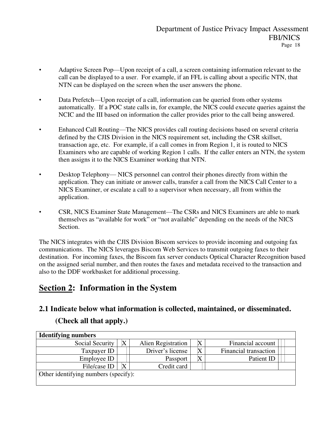- Adaptive Screen Pop—Upon receipt of a call, a screen containing information relevant to the call can be displayed to a user. For example, if an FFL is calling about a specific NTN, that NTN can be displayed on the screen when the user answers the phone.
- Data Prefetch—Upon receipt of a call, information can be queried from other systems automatically. If a POC state calls in, for example, the NICS could execute queries against the NCIC and the III based on information the caller provides prior to the call being answered.
- Enhanced Call Routing—The NICS provides call routing decisions based on several criteria defined by the CJIS Division in the NICS requirement set, including the CSR skillset, transaction age, etc. For example, if a call comes in from Region 1, it is routed to NICS Examiners who are capable of working Region 1 calls. If the caller enters an NTN, the system then assigns it to the NICS Examiner working that NTN.
- Desktop Telephony— NICS personnel can control their phones directly from within the application. They can initiate or answer calls, transfer a call from the NICS Call Center to a NICS Examiner, or escalate a call to a supervisor when necessary, all from within the application.
- CSR, NICS Examiner State Management—The CSRs and NICS Examiners are able to mark themselves as "available for work" or "not available" depending on the needs of the NICS Section.

The NICS integrates with the CJIS Division Biscom services to provide incoming and outgoing fax communications. The NICS leverages Biscom Web Services to transmit outgoing faxes to their destination. For incoming faxes, the Biscom fax server conducts Optical Character Recognition based on the assigned serial number, and then routes the faxes and metadata received to the transaction and also to the DDF workbasket for additional processing.

## **Section 2: Information in the System**

### **2.1 Indicate below what information is collected, maintained, or disseminated.**

### **(Check all that apply.)**

| <b>Identifying numbers</b>           |         |                    |  |                       |  |  |
|--------------------------------------|---------|--------------------|--|-----------------------|--|--|
| Social Security                      | $\rm X$ | Alien Registration |  | Financial account     |  |  |
| Taxpayer ID                          |         | Driver's license   |  | Financial transaction |  |  |
| Employee ID                          |         | Passport           |  | Patient ID            |  |  |
| File/case ID                         |         | Credit card        |  |                       |  |  |
| Other identifying numbers (specify): |         |                    |  |                       |  |  |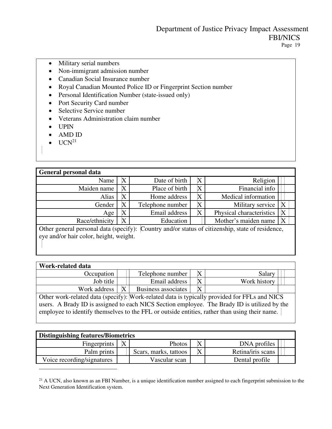- Military serial numbers
- Non-immigrant admission number
- Canadian Social Insurance number
- Royal Canadian Mounted Police ID or Fingerprint Section number
- Personal Identification Number (state-issued only)
- Port Security Card number
- Selective Service number
- Veterans Administration claim number
- UPIN
- AMD ID
- $\bullet$  UCN<sup>21</sup>

| <b>General personal data</b>                                                                     |                                        |                  |                           |                               |  |  |
|--------------------------------------------------------------------------------------------------|----------------------------------------|------------------|---------------------------|-------------------------------|--|--|
| Name                                                                                             | $\rm X$                                | Date of birth    | $\boldsymbol{\mathrm{X}}$ | Religion                      |  |  |
| Maiden name                                                                                      | X                                      | Place of birth   | $\rm X$                   | Financial info                |  |  |
| Alias                                                                                            | X                                      | Home address     | $\boldsymbol{\mathrm{X}}$ | Medical information           |  |  |
| Gender                                                                                           | Χ                                      | Telephone number | $\boldsymbol{\mathrm{X}}$ | $\rm X$<br>Military service   |  |  |
| Age                                                                                              | X                                      | Email address    | $\rm\overline{X}$         | Physical characteristics<br>X |  |  |
| Race/ethnicity                                                                                   | $\overline{\mathrm{X}}$                | Education        |                           | Mother's maiden name          |  |  |
| Other general personal data (specify): Country and/or status of citizenship, state of residence, |                                        |                  |                           |                               |  |  |
|                                                                                                  | eye and/or hair color, height, weight. |                  |                           |                               |  |  |
|                                                                                                  |                                        |                  |                           |                               |  |  |

| Work-related data                                                                             |  |                     |         |              |  |
|-----------------------------------------------------------------------------------------------|--|---------------------|---------|--------------|--|
| Occupation                                                                                    |  | Telephone number    | X       | Salary       |  |
| Job title                                                                                     |  | Email address       | $\rm X$ | Work history |  |
| Work address                                                                                  |  | Business associates | $\rm X$ |              |  |
| Other work-related data (specify): Work-related data is typically provided for FFLs and NICS  |  |                     |         |              |  |
| users. A Brady ID is assigned to each NICS Section employee. The Brady ID is utilized by the  |  |                     |         |              |  |
| employee to identify themselves to the FFL or outside entities, rather than using their name. |  |                     |         |              |  |
|                                                                                               |  |                     |         |              |  |

| <b>Distinguishing features/Biometrics</b> |  |                       |  |                   |  |  |
|-------------------------------------------|--|-----------------------|--|-------------------|--|--|
| Fingerprints                              |  | Photos                |  | DNA profiles      |  |  |
| Palm prints                               |  | Scars, marks, tattoos |  | Retina/iris scans |  |  |
| Voice recording/signatures                |  | Vascular scan         |  | Dental profile    |  |  |

<sup>&</sup>lt;sup>21</sup> A UCN, also known as an FBI Number, is a unique identification number assigned to each fingerprint submission to the Next Generation Identification system.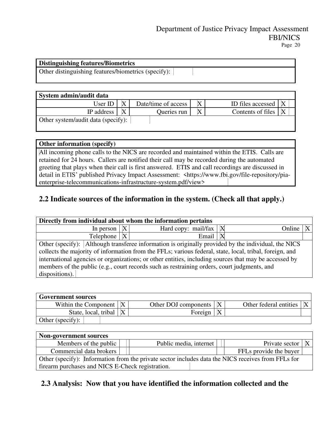| <b>Distinguishing features/Biometrics</b>           |  |
|-----------------------------------------------------|--|
| Other distinguishing features/biometrics (specify): |  |

| System admin/audit data            |  |                     |  |                       |  |  |
|------------------------------------|--|---------------------|--|-----------------------|--|--|
| User ID                            |  | Date/time of access |  | ID files accessed   X |  |  |
| IP address                         |  | Queries run         |  | Contents of files     |  |  |
| Other system/audit data (specify): |  |                     |  |                       |  |  |

### **Other information (specify)**  All incoming phone calls to the NICS are recorded and maintained within the ETIS. Calls are retained for 24 hours. Callers are notified their call may be recorded during the automated greeting that plays when their call is first answered. ETIS and call recordings are discussed in detail in ETIS' published Privacy Impact Assessment: <https://www.fbi.gov/file-repository/piaenterprise-telecommunications-infrastructure-system.pdf/view>

### **2.2 Indicate sources of the information in the system. (Check all that apply.)**

| Directly from individual about whom the information pertains                                            |              |                                                                                                     |  |        |  |  |
|---------------------------------------------------------------------------------------------------------|--------------|-----------------------------------------------------------------------------------------------------|--|--------|--|--|
| In person                                                                                               | X            | Hard copy: $mail/fax$                                                                               |  | Online |  |  |
| Telephone                                                                                               | $\mathbf{X}$ | Email                                                                                               |  |        |  |  |
|                                                                                                         |              | Other (specify): Although transferee information is originally provided by the individual, the NICS |  |        |  |  |
| collects the majority of information from the FFLs; various federal, state, local, tribal, foreign, and |              |                                                                                                     |  |        |  |  |
| international agencies or organizations; or other entities, including sources that may be accessed by   |              |                                                                                                     |  |        |  |  |
| members of the public (e.g., court records such as restraining orders, court judgments, and             |              |                                                                                                     |  |        |  |  |
| dispositions).                                                                                          |              |                                                                                                     |  |        |  |  |
|                                                                                                         |              |                                                                                                     |  |        |  |  |

| <b>Government sources</b> |  |                      |  |                        |  |
|---------------------------|--|----------------------|--|------------------------|--|
| Within the Component      |  | Other DOJ components |  | Other federal entities |  |
| State, local, tribal      |  | Foreign              |  |                        |  |
| Other (specify):          |  |                      |  |                        |  |

| <b>Non-government sources</b>                                                                      |                        |                        |  |  |  |  |
|----------------------------------------------------------------------------------------------------|------------------------|------------------------|--|--|--|--|
| Members of the public                                                                              | Public media, internet | Private sector         |  |  |  |  |
| Commercial data brokers                                                                            |                        | FFLs provide the buyer |  |  |  |  |
| Other (specify): Information from the private sector includes data the NICS receives from FFLs for |                        |                        |  |  |  |  |
| firearm purchases and NICS E-Check registration.                                                   |                        |                        |  |  |  |  |

### **2.3 Analysis: Now that you have identified the information collected and the**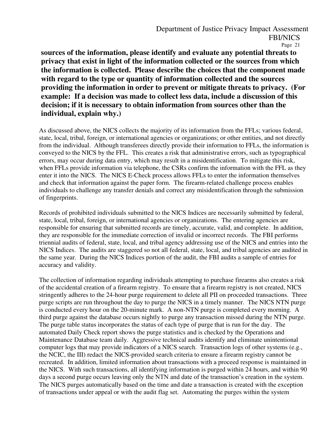**sources of the information, please identify and evaluate any potential threats to privacy that exist in light of the information collected or the sources from which the information is collected. Please describe the choices that the component made with regard to the type or quantity of information collected and the sources providing the information in order to prevent or mitigate threats to privacy. (For example: If a decision was made to collect less data, include a discussion of this decision; if it is necessary to obtain information from sources other than the individual, explain why.)** 

As discussed above, the NICS collects the majority of its information from the FFLs; various federal, state, local, tribal, foreign, or international agencies or organizations; or other entities, and not directly from the individual. Although transferees directly provide their information to FFLs, the information is conveyed to the NICS by the FFL. This creates a risk that administrative errors, such as typographical errors, may occur during data entry, which may result in a misidentification. To mitigate this risk, when FFLs provide information via telephone, the CSRs confirm the information with the FFL as they enter it into the NICS. The NICS E-Check process allows FFLs to enter the information themselves and check that information against the paper form. The firearm-related challenge process enables individuals to challenge any transfer denials and correct any misidentification through the submission of fingerprints.

Records of prohibited individuals submitted to the NICS Indices are necessarily submitted by federal, state, local, tribal, foreign, or international agencies or organizations. The entering agencies are responsible for ensuring that submitted records are timely, accurate, valid, and complete. In addition, they are responsible for the immediate correction of invalid or incorrect records. The FBI performs triennial audits of federal, state, local, and tribal agency addressing use of the NICS and entries into the NICS Indices. The audits are staggered so not all federal, state, local, and tribal agencies are audited in the same year. During the NICS Indices portion of the audit, the FBI audits a sample of entries for accuracy and validity.

The collection of information regarding individuals attempting to purchase firearms also creates a risk of the accidental creation of a firearm registry. To ensure that a firearm registry is not created, NICS stringently adheres to the 24-hour purge requirement to delete all PII on proceeded transactions. Three purge scripts are run throughout the day to purge the NICS in a timely manner. The NICS NTN purge is conducted every hour on the 20-minute mark. A non-NTN purge is completed every morning. A third purge against the database occurs nightly to purge any transaction missed during the NTN purge. The purge table status incorporates the status of each type of purge that is run for the day. The automated Daily Check report shows the purge statistics and is checked by the Operations and Maintenance Database team daily. Aggressive technical audits identify and eliminate unintentional computer logs that may provide indicators of a NICS search. Transaction logs of other systems (e.g., the NCIC, the III) redact the NICS-provided search criteria to ensure a firearm registry cannot be recreated. In addition, limited information about transactions with a proceed response is maintained in the NICS. With such transactions, all identifying information is purged within 24 hours, and within 90 days a second purge occurs leaving only the NTN and date of the transaction's creation in the system. The NICS purges automatically based on the time and date a transaction is created with the exception of transactions under appeal or with the audit flag set. Automating the purges within the system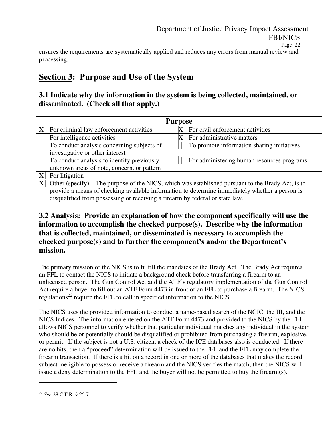ensures the requirements are systematically applied and reduces any errors from manual review and processing.

## **Section 3: Purpose and Use of the System**

### **3.1 Indicate why the information in the system is being collected, maintained, or disseminated. (Check all that apply.)**

|   | <b>Purpose</b>                                                                                   |              |                                            |  |  |  |  |  |
|---|--------------------------------------------------------------------------------------------------|--------------|--------------------------------------------|--|--|--|--|--|
| X | For criminal law enforcement activities                                                          | $\mathbf{X}$ | For civil enforcement activities           |  |  |  |  |  |
|   | For intelligence activities                                                                      |              | For administrative matters                 |  |  |  |  |  |
|   | To conduct analysis concerning subjects of                                                       |              | To promote information sharing initiatives |  |  |  |  |  |
|   | investigative or other interest                                                                  |              |                                            |  |  |  |  |  |
|   | To conduct analysis to identify previously                                                       |              | For administering human resources programs |  |  |  |  |  |
|   | unknown areas of note, concern, or pattern                                                       |              |                                            |  |  |  |  |  |
|   | For litigation                                                                                   |              |                                            |  |  |  |  |  |
|   | Other (specify): The purpose of the NICS, which was established pursuant to the Brady Act, is to |              |                                            |  |  |  |  |  |
|   | provide a means of checking available information to determine immediately whether a person is   |              |                                            |  |  |  |  |  |
|   | disqualified from possessing or receiving a firearm by federal or state law.                     |              |                                            |  |  |  |  |  |

### **3.2 Analysis: Provide an explanation of how the component specifically will use the information to accomplish the checked purpose(s). Describe why the information that is collected, maintained, or disseminated is necessary to accomplish the checked purpose(s) and to further the component's and/or the Department's mission.**

The primary mission of the NICS is to fulfill the mandates of the Brady Act. The Brady Act requires an FFL to contact the NICS to initiate a background check before transferring a firearm to an unlicensed person. The Gun Control Act and the ATF's regulatory implementation of the Gun Control Act require a buyer to fill out an ATF Form 4473 in front of an FFL to purchase a firearm. The NICS regulations<sup>22</sup> require the FFL to call in specified information to the NICS.

The NICS uses the provided information to conduct a name-based search of the NCIC, the III, and the NICS Indices. The information entered on the ATF Form 4473 and provided to the NICS by the FFL allows NICS personnel to verify whether that particular individual matches any individual in the system who should be or potentially should be disqualified or prohibited from purchasing a firearm, explosive, or permit. If the subject is not a U.S. citizen, a check of the ICE databases also is conducted. If there are no hits, then a "proceed" determination will be issued to the FFL and the FFL may complete the firearm transaction. If there is a hit on a record in one or more of the databases that makes the record subject ineligible to possess or receive a firearm and the NICS verifies the match, then the NICS will issue a deny determination to the FFL and the buyer will not be permitted to buy the firearm(s).

<sup>22</sup> *See* 28 C.F.R. § 25.7.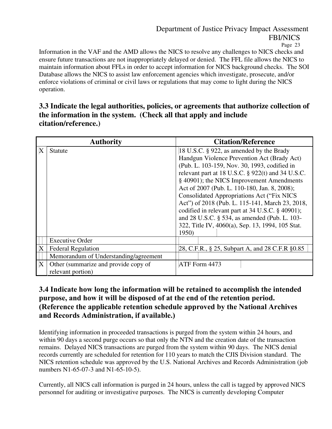Page 23

Information in the VAF and the AMD allows the NICS to resolve any challenges to NICS checks and ensure future transactions are not inappropriately delayed or denied. The FFL file allows the NICS to maintain information about FFLs in order to accept information for NICS background checks. The SOI Database allows the NICS to assist law enforcement agencies which investigate, prosecute, and/or enforce violations of criminal or civil laws or regulations that may come to light during the NICS operation.

### **3.3 Indicate the legal authorities, policies, or agreements that authorize collection of the information in the system. (Check all that apply and include citation/reference.)**

|   | <b>Authority</b>                                          | <b>Citation/Reference</b>                                                                                                                                                                                                                                                                                                                                                                            |
|---|-----------------------------------------------------------|------------------------------------------------------------------------------------------------------------------------------------------------------------------------------------------------------------------------------------------------------------------------------------------------------------------------------------------------------------------------------------------------------|
| X | <b>Statute</b>                                            | 18 U.S.C. § 922, as amended by the Brady<br>Handgun Violence Prevention Act (Brady Act)<br>(Pub. L. 103-159, Nov. 30, 1993, codified in<br>relevant part at 18 U.S.C. $\S$ 922(t) and 34 U.S.C.<br>§ 40901); the NICS Improvement Amendments<br>Act of 2007 (Pub. L. 110-180, Jan. 8, 2008);<br><b>Consolidated Appropriations Act ("Fix NICS</b><br>Act") of 2018 (Pub. L. 115-141, March 23, 2018, |
|   |                                                           | codified in relevant part at 34 U.S.C. § 40901);<br>and 28 U.S.C. § 534, as amended (Pub. L. 103-<br>322, Title IV, 4060(a), Sep. 13, 1994, 105 Stat.<br>1950)                                                                                                                                                                                                                                       |
|   | <b>Executive Order</b>                                    |                                                                                                                                                                                                                                                                                                                                                                                                      |
| X | <b>Federal Regulation</b>                                 | 28, C.F.R., § 25, Subpart A, and 28 C.F.R § 0.85                                                                                                                                                                                                                                                                                                                                                     |
|   | Memorandum of Understanding/agreement                     |                                                                                                                                                                                                                                                                                                                                                                                                      |
| X | Other (summarize and provide copy of<br>relevant portion) | ATF Form 4473                                                                                                                                                                                                                                                                                                                                                                                        |

### **3.4 Indicate how long the information will be retained to accomplish the intended purpose, and how it will be disposed of at the end of the retention period. (Reference the applicable retention schedule approved by the National Archives and Records Administration, if available.)**

Identifying information in proceeded transactions is purged from the system within 24 hours, and within 90 days a second purge occurs so that only the NTN and the creation date of the transaction remains. Delayed NICS transactions are purged from the system within 90 days. The NICS denial records currently are scheduled for retention for 110 years to match the CJIS Division standard. The NICS retention schedule was approved by the U.S. National Archives and Records Administration (job numbers N1-65-07-3 and N1-65-10-5).

Currently, all NICS call information is purged in 24 hours, unless the call is tagged by approved NICS personnel for auditing or investigative purposes. The NICS is currently developing Computer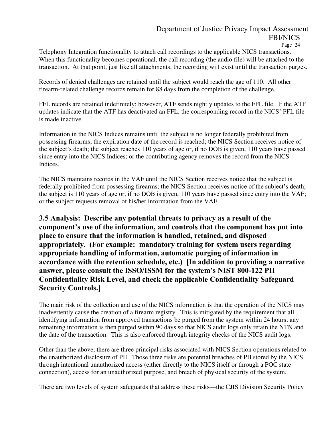Page 24

Telephony Integration functionality to attach call recordings to the applicable NICS transactions. When this functionality becomes operational, the call recording (the audio file) will be attached to the transaction. At that point, just like all attachments, the recording will exist until the transaction purges.

Records of denied challenges are retained until the subject would reach the age of 110. All other firearm-related challenge records remain for 88 days from the completion of the challenge.

FFL records are retained indefinitely; however, ATF sends nightly updates to the FFL file. If the ATF updates indicate that the ATF has deactivated an FFL, the corresponding record in the NICS' FFL file is made inactive.

Information in the NICS Indices remains until the subject is no longer federally prohibited from possessing firearms; the expiration date of the record is reached; the NICS Section receives notice of the subject's death; the subject reaches 110 years of age or, if no DOB is given, 110 years have passed since entry into the NICS Indices; or the contributing agency removes the record from the NICS Indices.

The NICS maintains records in the VAF until the NICS Section receives notice that the subject is federally prohibited from possessing firearms; the NICS Section receives notice of the subject's death; the subject is 110 years of age or, if no DOB is given, 110 years have passed since entry into the VAF; or the subject requests removal of his/her information from the VAF.

### **3.5 Analysis: Describe any potential threats to privacy as a result of the component's use of the information, and controls that the component has put into place to ensure that the information is handled, retained, and disposed appropriately. (For example: mandatory training for system users regarding appropriate handling of information, automatic purging of information in accordance with the retention schedule, etc.) [In addition to providing a narrative answer, please consult the ISSO/ISSM for the system's NIST 800-122 PII Confidentiality Risk Level, and check the applicable Confidentiality Safeguard Security Controls.]**

The main risk of the collection and use of the NICS information is that the operation of the NICS may inadvertently cause the creation of a firearm registry. This is mitigated by the requirement that all identifying information from approved transactions be purged from the system within 24 hours; any remaining information is then purged within 90 days so that NICS audit logs only retain the NTN and the date of the transaction. This is also enforced through integrity checks of the NICS audit logs.

Other than the above, there are three principal risks associated with NICS Section operations related to the unauthorized disclosure of PII. Those three risks are potential breaches of PII stored by the NICS through intentional unauthorized access (either directly to the NICS itself or through a POC state connection), access for an unauthorized purpose, and breach of physical security of the system.

There are two levels of system safeguards that address these risks—the CJIS Division Security Policy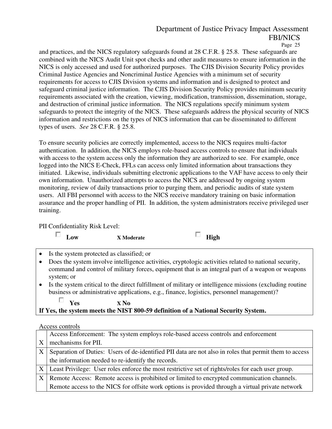Page 25

and practices, and the NICS regulatory safeguards found at 28 C.F.R. § 25.8. These safeguards are combined with the NICS Audit Unit spot checks and other audit measures to ensure information in the NICS is only accessed and used for authorized purposes. The CJIS Division Security Policy provides Criminal Justice Agencies and Noncriminal Justice Agencies with a minimum set of security requirements for access to CJIS Division systems and information and is designed to protect and safeguard criminal justice information. The CJIS Division Security Policy provides minimum security requirements associated with the creation, viewing, modification, transmission, dissemination, storage, and destruction of criminal justice information. The NICS regulations specify minimum system safeguards to protect the integrity of the NICS. These safeguards address the physical security of NICS information and restrictions on the types of NICS information that can be disseminated to different types of users. *See* 28 C.F.R. § 25.8.

To ensure security policies are correctly implemented, access to the NICS requires multi-factor authentication. In addition, the NICS employs role-based access controls to ensure that individuals with access to the system access only the information they are authorized to see. For example, once logged into the NICS E-Check, FFLs can access only limited information about transactions they initiated. Likewise, individuals submitting electronic applications to the VAF have access to only their own information. Unauthorized attempts to access the NICS are addressed by ongoing system monitoring, review of daily transactions prior to purging them, and periodic audits of state system users. All FBI personnel with access to the NICS receive mandatory training on basic information assurance and the proper handling of PII. In addition, the system administrators receive privileged user training.

PII Confidentiality Risk Level:

| ∟ow |
|-----|

**Low X Moderate High** 

- Is the system protected as classified; or
- Does the system involve intelligence activities, cryptologic activities related to national security, command and control of military forces, equipment that is an integral part of a weapon or weapons system; or
- Is the system critical to the direct fulfillment of military or intelligence missions (excluding routine business or administrative applications, e.g., finance, logistics, personnel management)?

**Yes X No** 

### **If Yes, the system meets the NIST 800-59 definition of a National Security System.**

Access controls

П.

|   | Access Enforcement: The system employs role-based access controls and enforcement                      |  |  |  |
|---|--------------------------------------------------------------------------------------------------------|--|--|--|
| X | mechanisms for PII.                                                                                    |  |  |  |
| X | Separation of Duties: Users of de-identified PII data are not also in roles that permit them to access |  |  |  |
|   | the information needed to re-identify the records.                                                     |  |  |  |
|   | X   Least Privilege: User roles enforce the most restrictive set of rights/roles for each user group.  |  |  |  |
|   | X Remote Access: Remote access is prohibited or limited to encrypted communication channels.           |  |  |  |
|   | Remote access to the NICS for offsite work options is provided through a virtual private network       |  |  |  |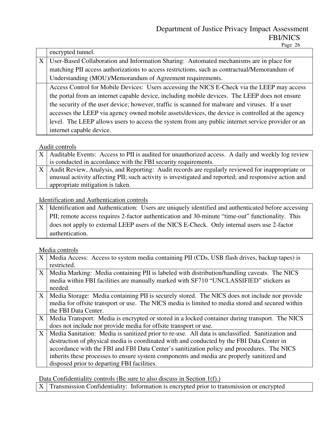|   | encrypted tunnel.                                                                                 |  |  |  |
|---|---------------------------------------------------------------------------------------------------|--|--|--|
| X | User-Based Collaboration and Information Sharing: Automated mechanisms are in place for           |  |  |  |
|   | matching PII access authorizations to access restrictions, such as contractual/Memorandum of      |  |  |  |
|   | Understanding (MOU)/Memorandum of Agreement requirements.                                         |  |  |  |
|   | Access Control for Mobile Devices: Users accessing the NICS E-Check via the LEEP may access       |  |  |  |
|   | the portal from an internet capable device, including mobile devices. The LEEP does not ensure    |  |  |  |
|   | the security of the user device; however, traffic is scanned for malware and viruses. If a user   |  |  |  |
|   | accesses the LEEP via agency owned mobile assets/devices, the device is controlled at the agency  |  |  |  |
|   | level. The LEEP allows users to access the system from any public internet service provider or an |  |  |  |
|   | internet capable device.                                                                          |  |  |  |

#### Audit controls

|  | X   Auditable Events: Access to PII is audited for unauthorized access. A daily and weekly log review |  |  |  |
|--|-------------------------------------------------------------------------------------------------------|--|--|--|
|  | is conducted in accordance with the FBI security requirements.                                        |  |  |  |
|  | X   Audit Review, Analysis, and Reporting: Audit records are regularly reviewed for inappropriate or  |  |  |  |
|  | unusual activity affecting PII; such activity is investigated and reported; and responsive action and |  |  |  |
|  | appropriate mitigation is taken.                                                                      |  |  |  |

### Identification and Authentication controls

| X   Identification and Authentication: Users are uniquely identified and authenticated before accessing |
|---------------------------------------------------------------------------------------------------------|
| PII; remote access requires 2-factor authentication and 30-minute "time-out" functionality. This        |
| does not apply to external LEEP users of the NICS E-Check. Only internal users use 2-factor             |
| authentication.                                                                                         |

#### Media controls

| X <sup>1</sup> | Media Access: Access to system media containing PII (CDs, USB flash drives, backup tapes) is<br>restricted.                                                                                                                                                                                                                                                                                                                             |
|----------------|-----------------------------------------------------------------------------------------------------------------------------------------------------------------------------------------------------------------------------------------------------------------------------------------------------------------------------------------------------------------------------------------------------------------------------------------|
| X <sub>1</sub> | Media Marking: Media containing PII is labeled with distribution/handling caveats. The NICS<br>media within FBI facilities are manually marked with SF710 "UNCLASSIFIED" stickers as<br>needed.                                                                                                                                                                                                                                         |
| X <sub>1</sub> | Media Storage: Media containing PII is securely stored. The NICS does not include nor provide<br>media for offsite transport or use. The NICS media is limited to media stored and secured within<br>the FBI Data Center.                                                                                                                                                                                                               |
| X <sub>1</sub> | Media Transport: Media is encrypted or stored in a locked container during transport. The NICS<br>does not include nor provide media for offsite transport or use.                                                                                                                                                                                                                                                                      |
| $X_{-}$        | Media Sanitation: Media is sanitized prior to re-use. All data is unclassified. Sanitization and<br>destruction of physical media is coordinated with and conducted by the FBI Data Center in<br>accordance with the FBI and FBI Data Center's sanitization policy and procedures. The NICS<br>inherits these processes to ensure system components and media are properly sanitized and<br>disposed prior to departing FBI facilities. |

Data Confidentiality controls (Be sure to also discuss in Section 1(f).)

 $\overline{X}$  Transmission Confidentiality: Information is encrypted prior to transmission or encrypted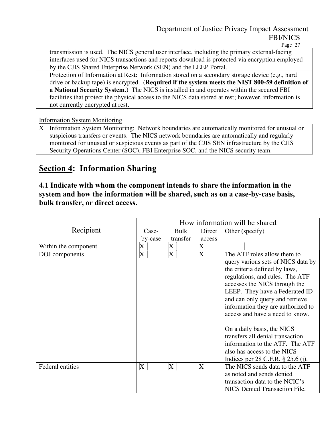Page 27

transmission is used. The NICS general user interface, including the primary external-facing interfaces used for NICS transactions and reports download is protected via encryption employed by the CJIS Shared Enterprise Network (SEN) and the LEEP Portal.

Protection of Information at Rest: Information stored on a secondary storage device (e.g., hard drive or backup tape) is encrypted. (**Required if the system meets the NIST 800-59 definition of a National Security System**.) The NICS is installed in and operates within the secured FBI facilities that protect the physical access to the NICS data stored at rest; however, information is not currently encrypted at rest.

Information System Monitoring

X Information System Monitoring: Network boundaries are automatically monitored for unusual or suspicious transfers or events. The NICS network boundaries are automatically and regularly monitored for unusual or suspicious events as part of the CJIS SEN infrastructure by the CJIS Security Operations Center (SOC), FBI Enterprise SOC, and the NICS security team.

## **Section 4: Information Sharing**

### **4.1 Indicate with whom the component intends to share the information in the system and how the information will be shared, such as on a case-by-case basis, bulk transfer, or direct access.**

|                      | How information will be shared |          |        |                                                                                                                                                                                                                                                                                                                      |  |
|----------------------|--------------------------------|----------|--------|----------------------------------------------------------------------------------------------------------------------------------------------------------------------------------------------------------------------------------------------------------------------------------------------------------------------|--|
| Recipient            | Case-                          | Bulk     | Direct | Other (specify)                                                                                                                                                                                                                                                                                                      |  |
|                      | by-case                        | transfer | access |                                                                                                                                                                                                                                                                                                                      |  |
| Within the component | X                              | X        | X      |                                                                                                                                                                                                                                                                                                                      |  |
| DOJ components       | X                              | X        | X      | The ATF roles allow them to<br>query various sets of NICS data by<br>the criteria defined by laws,<br>regulations, and rules. The ATF<br>accesses the NICS through the<br>LEEP. They have a Federated ID<br>and can only query and retrieve<br>information they are authorized to<br>access and have a need to know. |  |
|                      |                                |          |        | On a daily basis, the NICS<br>transfers all denial transaction<br>information to the ATF. The ATF<br>also has access to the NICS<br>Indices per $28$ C.F.R. $\S 25.6$ (j).                                                                                                                                           |  |
| Federal entities     | X                              | X        | X      | The NICS sends data to the ATF<br>as noted and sends denied<br>transaction data to the NCIC's<br><b>NICS Denied Transaction File.</b>                                                                                                                                                                                |  |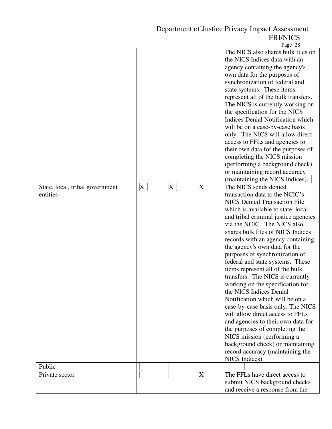Page 28

| State, local, tribal government | X | X | X | The NICS also shares bulk files on<br>the NICS Indices data with an<br>agency containing the agency's<br>own data for the purposes of<br>synchronization of federal and<br>state systems. These items<br>represent all of the bulk transfers.<br>The NICS is currently working on<br>the specification for the NICS<br><b>Indices Denial Notification which</b><br>will be on a case-by-case basis<br>only. The NICS will allow direct<br>access to FFLs and agencies to<br>their own data for the purposes of<br>completing the NICS mission<br>(performing a background check)<br>or maintaining record accuracy<br>(maintaining the NICS Indices).<br>The NICS sends denied                                                                                                                                         |
|---------------------------------|---|---|---|------------------------------------------------------------------------------------------------------------------------------------------------------------------------------------------------------------------------------------------------------------------------------------------------------------------------------------------------------------------------------------------------------------------------------------------------------------------------------------------------------------------------------------------------------------------------------------------------------------------------------------------------------------------------------------------------------------------------------------------------------------------------------------------------------------------------|
| entities                        |   |   |   | transaction data to the NCIC's<br><b>NICS Denied Transaction File</b><br>which is available to state, local,<br>and tribal criminal justice agencies<br>via the NCIC. The NICS also<br>shares bulk files of NICS Indices<br>records with an agency containing<br>the agency's own data for the<br>purposes of synchronization of<br>federal and state systems. These<br>items represent all of the bulk<br>transfers. The NICS is currently<br>working on the specification for<br>the NICS Indices Denial<br>Notification which will be on a<br>case-by-case basis only. The NICS<br>will allow direct access to FFLs<br>and agencies to their own data for<br>the purposes of completing the<br>NICS mission (performing a<br>background check) or maintaining<br>record accuracy (maintaining the<br>NICS Indices). |
| Public                          |   |   |   |                                                                                                                                                                                                                                                                                                                                                                                                                                                                                                                                                                                                                                                                                                                                                                                                                        |
| Private sector                  |   |   | X | The FFLs have direct access to<br>submit NICS background checks<br>and receive a response from the                                                                                                                                                                                                                                                                                                                                                                                                                                                                                                                                                                                                                                                                                                                     |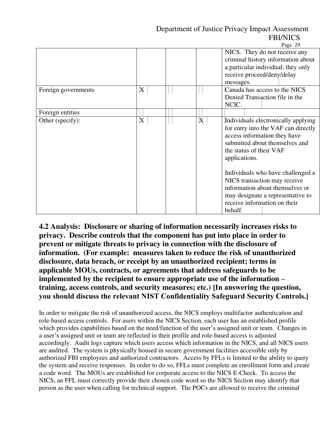|                     |                           |             | Page 29                                                                                                                                                                                                                                                                                                                                                               |
|---------------------|---------------------------|-------------|-----------------------------------------------------------------------------------------------------------------------------------------------------------------------------------------------------------------------------------------------------------------------------------------------------------------------------------------------------------------------|
|                     |                           |             | NICS. They do not receive any<br>criminal history information about<br>a particular individual; they only<br>receive proceed/deny/delay<br>messages.                                                                                                                                                                                                                  |
| Foreign governments | X                         |             | Canada has access to the NICS<br>Denied Transaction file in the<br>NCIC.                                                                                                                                                                                                                                                                                              |
| Foreign entities    |                           |             |                                                                                                                                                                                                                                                                                                                                                                       |
| Other (specify):    | $\boldsymbol{\mathrm{X}}$ | $\mathbf X$ | Individuals electronically applying<br>for entry into the VAF can directly<br>access information they have<br>submitted about themselves and<br>the status of their VAF<br>applications.<br>Individuals who have challenged a<br>NICS transaction may receive<br>information about themselves or<br>may designate a representative to<br>receive information on their |
|                     |                           |             | behalf.                                                                                                                                                                                                                                                                                                                                                               |

**4.2 Analysis: Disclosure or sharing of information necessarily increases risks to privacy. Describe controls that the component has put into place in order to prevent or mitigate threats to privacy in connection with the disclosure of information. (For example: measures taken to reduce the risk of unauthorized disclosure, data breach, or receipt by an unauthorized recipient; terms in applicable MOUs, contracts, or agreements that address safeguards to be implemented by the recipient to ensure appropriate use of the information – training, access controls, and security measures; etc.) [In answering the question, you should discuss the relevant NIST Confidentiality Safeguard Security Controls.]**

In order to mitigate the risk of unauthorized access, the NICS employs multifactor authentication and role-based access controls. For users within the NICS Section, each user has an established profile which provides capabilities based on the need/function of the user's assigned unit or team. Changes in a user's assigned unit or team are reflected in their profile and role-based access is adjusted accordingly. Audit logs capture which users access which information in the NICS, and all NICS users are audited. The system is physically housed in secure government facilities accessible only by authorized FBI employees and authorized contractors. Access by FFLs is limited to the ability to query the system and receive responses. In order to do so, FFLs must complete an enrollment form and create a code word. The MOUs are established for corporate access to the NICS E-Check. To access the NICS, an FFL must correctly provide their chosen code word so the NICS Section may identify that person as the user when calling for technical support. The POCs are allowed to receive the criminal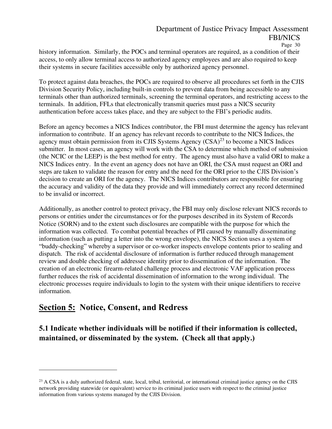history information. Similarly, the POCs and terminal operators are required, as a condition of their access, to only allow terminal access to authorized agency employees and are also required to keep their systems in secure facilities accessible only by authorized agency personnel.

To protect against data breaches, the POCs are required to observe all procedures set forth in the CJIS Division Security Policy, including built-in controls to prevent data from being accessible to any terminals other than authorized terminals, screening the terminal operators, and restricting access to the terminals. In addition, FFLs that electronically transmit queries must pass a NICS security authentication before access takes place, and they are subject to the FBI's periodic audits.

Before an agency becomes a NICS Indices contributor, the FBI must determine the agency has relevant information to contribute. If an agency has relevant records to contribute to the NICS Indices, the agency must obtain permission from its CJIS Systems Agency  $(CSA)^{23}$  to become a NICS Indices submitter. In most cases, an agency will work with the CSA to determine which method of submission (the NCIC or the LEEP) is the best method for entry. The agency must also have a valid ORI to make a NICS Indices entry. In the event an agency does not have an ORI, the CSA must request an ORI and steps are taken to validate the reason for entry and the need for the ORI prior to the CJIS Division's decision to create an ORI for the agency. The NICS Indices contributors are responsible for ensuring the accuracy and validity of the data they provide and will immediately correct any record determined to be invalid or incorrect.

Additionally, as another control to protect privacy, the FBI may only disclose relevant NICS records to persons or entities under the circumstances or for the purposes described in its System of Records Notice (SORN) and to the extent such disclosures are compatible with the purpose for which the information was collected. To combat potential breaches of PII caused by manually disseminating information (such as putting a letter into the wrong envelope), the NICS Section uses a system of "buddy-checking" whereby a supervisor or co-worker inspects envelope contents prior to sealing and dispatch. The risk of accidental disclosure of information is further reduced through management review and double checking of addressee identity prior to dissemination of the information. The creation of an electronic firearm-related challenge process and electronic VAF application process further reduces the risk of accidental dissemination of information to the wrong individual. The electronic processes require individuals to login to the system with their unique identifiers to receive information.

## **Section 5: Notice, Consent, and Redress**

**5.1 Indicate whether individuals will be notified if their information is collected, maintained, or disseminated by the system. (Check all that apply.)** 

<sup>&</sup>lt;sup>23</sup> A CSA is a duly authorized federal, state, local, tribal, territorial, or international criminal justice agency on the CJIS network providing statewide (or equivalent) service to its criminal justice users with respect to the criminal justice information from various systems managed by the CJIS Division.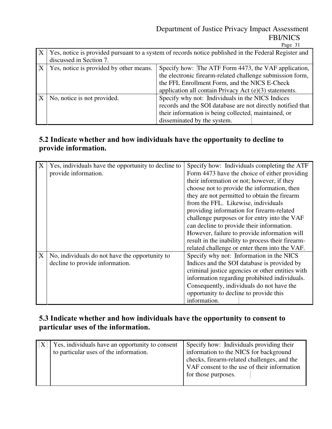Page 31

| Yes, notice is provided pursuant to a system of records notice published in the Federal Register and<br>discussed in Section 7.                                                                                                                                         |                                                                                                                                                                                                        |  |  |
|-------------------------------------------------------------------------------------------------------------------------------------------------------------------------------------------------------------------------------------------------------------------------|--------------------------------------------------------------------------------------------------------------------------------------------------------------------------------------------------------|--|--|
| Yes, notice is provided by other means.<br>Specify how: The ATF Form 4473, the VAF application,<br>the electronic firearm-related challenge submission form,<br>the FFL Enrollment Form, and the NICS E-Check<br>application all contain Privacy Act (e)(3) statements. |                                                                                                                                                                                                        |  |  |
| No, notice is not provided.                                                                                                                                                                                                                                             | Specify why not: Individuals in the NICS Indices<br>records and the SOI database are not directly notified that<br>their information is being collected, maintained, or<br>disseminated by the system. |  |  |

### **5.2 Indicate whether and how individuals have the opportunity to decline to provide information.**

| X | Yes, individuals have the opportunity to decline to | Specify how: Individuals completing the ATF       |
|---|-----------------------------------------------------|---------------------------------------------------|
|   | provide information.                                | Form 4473 have the choice of either providing     |
|   |                                                     | their information or not; however, if they        |
|   |                                                     | choose not to provide the information, then       |
|   |                                                     | they are not permitted to obtain the firearm      |
|   |                                                     | from the FFL. Likewise, individuals               |
|   |                                                     | providing information for firearm-related         |
|   |                                                     | challenge purposes or for entry into the VAF      |
|   |                                                     | can decline to provide their information.         |
|   |                                                     | However, failure to provide information will      |
|   |                                                     | result in the inability to process their firearm- |
|   |                                                     | related challenge or enter them into the VAF.     |
| X | No, individuals do not have the opportunity to      | Specify why not: Information in the NICS          |
|   | decline to provide information.                     | Indices and the SOI database is provided by       |
|   |                                                     | criminal justice agencies or other entities with  |
|   |                                                     | information regarding prohibited individuals.     |
|   |                                                     | Consequently, individuals do not have the         |
|   |                                                     | opportunity to decline to provide this            |
|   |                                                     | information.                                      |

### **5.3 Indicate whether and how individuals have the opportunity to consent to particular uses of the information.**

| Yes, individuals have an opportunity to consent<br>to particular uses of the information. | Specify how: Individuals providing their<br>information to the NICS for background<br>checks, firearm-related challenges, and the<br>VAF consent to the use of their information<br>for those purposes. |
|-------------------------------------------------------------------------------------------|---------------------------------------------------------------------------------------------------------------------------------------------------------------------------------------------------------|
|                                                                                           |                                                                                                                                                                                                         |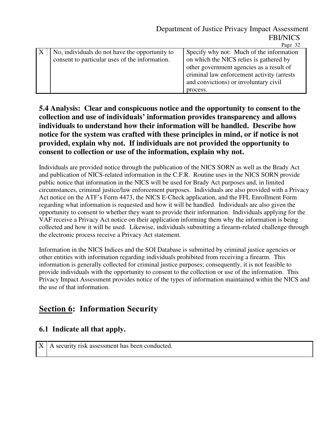|                                                | $1 \mu \leq C \sqrt{2}$                    |
|------------------------------------------------|--------------------------------------------|
| No, individuals do not have the opportunity to | Specify why not: Much of the information   |
| consent to particular uses of the information. | on which the NICS relies is gathered by    |
|                                                | other government agencies as a result of   |
|                                                | criminal law enforcement activity (arrests |
|                                                | and convictions) or involuntary civil      |
|                                                | process.                                   |
|                                                |                                            |

### **5.4 Analysis: Clear and conspicuous notice and the opportunity to consent to the collection and use of individuals' information provides transparency and allows individuals to understand how their information will be handled. Describe how notice for the system was crafted with these principles in mind, or if notice is not provided, explain why not. If individuals are not provided the opportunity to consent to collection or use of the information, explain why not.**

Individuals are provided notice through the publication of the NICS SORN as well as the Brady Act and publication of NICS-related information in the C.F.R. Routine uses in the NICS SORN provide public notice that information in the NICS will be used for Brady Act purposes and, in limited circumstances, criminal justice/law enforcement purposes. Individuals are also provided with a Privacy Act notice on the ATF's Form 4473, the NICS E-Check application, and the FFL Enrollment Form regarding what information is requested and how it will be handled. Individuals are also given the opportunity to consent to whether they want to provide their information. Individuals applying for the VAF receive a Privacy Act notice on their application informing them why the information is being collected and how it will be used. Likewise, individuals submitting a firearm-related challenge through the electronic process receive a Privacy Act statement.

Information in the NICS Indices and the SOI Database is submitted by criminal justice agencies or other entities with information regarding individuals prohibited from receiving a firearm. This information is generally collected for criminal justice purposes; consequently, it is not feasible to provide individuals with the opportunity to consent to the collection or use of the information. This Privacy Impact Assessment provides notice of the types of information maintained within the NICS and the use of that information.

## **Section 6: Information Security**

### **6.1 Indicate all that apply.**

 $X \mid A$  security risk assessment has been conducted.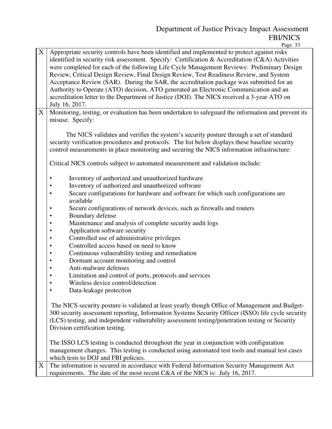Page 33

| $\boldsymbol{\mathrm{X}}$ | Appropriate security controls have been identified and implemented to protect against risks<br>identified in security risk assessment. Specify: Certification & Accreditation (C&A) Activities<br>were completed for each of the following Life Cycle Management Reviews: Preliminary Design<br>Review, Critical Design Review, Final Design Review, Test Readiness Review, and System<br>Acceptance Review (SAR). During the SAR, the accreditation package was submitted for an<br>Authority to Operate (ATO) decision, ATO generated an Electronic Communication and an<br>accreditation letter to the Department of Justice (DOJ). The NICS received a 3-year ATO on<br>July 16, 2017. |
|---------------------------|--------------------------------------------------------------------------------------------------------------------------------------------------------------------------------------------------------------------------------------------------------------------------------------------------------------------------------------------------------------------------------------------------------------------------------------------------------------------------------------------------------------------------------------------------------------------------------------------------------------------------------------------------------------------------------------------|
| X                         | Monitoring, testing, or evaluation has been undertaken to safeguard the information and prevent its<br>misuse. Specify:                                                                                                                                                                                                                                                                                                                                                                                                                                                                                                                                                                    |
|                           | The NICS validates and verifies the system's security posture through a set of standard<br>security verification procedures and protocols. The list below displays these baseline security<br>control measurements in place monitoring and securing the NICS information infrastructure:                                                                                                                                                                                                                                                                                                                                                                                                   |
|                           | Critical NICS controls subject to automated measurement and validation include:                                                                                                                                                                                                                                                                                                                                                                                                                                                                                                                                                                                                            |
|                           | Inventory of authorized and unauthorized hardware<br>$\bullet$                                                                                                                                                                                                                                                                                                                                                                                                                                                                                                                                                                                                                             |
|                           | Inventory of authorized and unauthorized software<br>$\bullet$                                                                                                                                                                                                                                                                                                                                                                                                                                                                                                                                                                                                                             |
|                           | Secure configurations for hardware and software for which such configurations are<br>$\bullet$<br>available                                                                                                                                                                                                                                                                                                                                                                                                                                                                                                                                                                                |
|                           | Secure configurations of network devices, such as firewalls and routers<br>٠                                                                                                                                                                                                                                                                                                                                                                                                                                                                                                                                                                                                               |
|                           | Boundary defense<br>$\bullet$                                                                                                                                                                                                                                                                                                                                                                                                                                                                                                                                                                                                                                                              |
|                           | Maintenance and analysis of complete security audit logs<br>$\bullet$                                                                                                                                                                                                                                                                                                                                                                                                                                                                                                                                                                                                                      |
|                           | Application software security<br>$\bullet$                                                                                                                                                                                                                                                                                                                                                                                                                                                                                                                                                                                                                                                 |
|                           | Controlled use of administrative privileges<br>$\bullet$                                                                                                                                                                                                                                                                                                                                                                                                                                                                                                                                                                                                                                   |
|                           | Controlled access based on need to know<br>$\bullet$                                                                                                                                                                                                                                                                                                                                                                                                                                                                                                                                                                                                                                       |
|                           | Continuous vulnerability testing and remediation<br>$\bullet$                                                                                                                                                                                                                                                                                                                                                                                                                                                                                                                                                                                                                              |
|                           | Dormant account monitoring and control<br>$\bullet$                                                                                                                                                                                                                                                                                                                                                                                                                                                                                                                                                                                                                                        |
|                           | Anti-malware defenses<br>$\bullet$                                                                                                                                                                                                                                                                                                                                                                                                                                                                                                                                                                                                                                                         |
|                           | Limitation and control of ports, protocols and services<br>$\bullet$                                                                                                                                                                                                                                                                                                                                                                                                                                                                                                                                                                                                                       |
|                           | Wireless device control/detection<br>$\bullet$<br>$\bullet$                                                                                                                                                                                                                                                                                                                                                                                                                                                                                                                                                                                                                                |
|                           | Data-leakage protection                                                                                                                                                                                                                                                                                                                                                                                                                                                                                                                                                                                                                                                                    |
|                           | The NICS security posture is validated at least yearly though Office of Management and Budget-<br>300 security assessment reporting, Information Systems Security Officer (ISSO) life cycle security                                                                                                                                                                                                                                                                                                                                                                                                                                                                                       |
|                           | (LCS) testing, and independent vulnerability assessment testing/penetration testing or Security                                                                                                                                                                                                                                                                                                                                                                                                                                                                                                                                                                                            |
|                           | Division certification testing.                                                                                                                                                                                                                                                                                                                                                                                                                                                                                                                                                                                                                                                            |
|                           |                                                                                                                                                                                                                                                                                                                                                                                                                                                                                                                                                                                                                                                                                            |
|                           | The ISSO LCS testing is conducted throughout the year in conjunction with configuration                                                                                                                                                                                                                                                                                                                                                                                                                                                                                                                                                                                                    |
|                           | management changes. This testing is conducted using automated test tools and manual test cases                                                                                                                                                                                                                                                                                                                                                                                                                                                                                                                                                                                             |
|                           | which tests to DOJ and FBI policies.                                                                                                                                                                                                                                                                                                                                                                                                                                                                                                                                                                                                                                                       |
| X                         | The information is secured in accordance with Federal Information Security Management Act                                                                                                                                                                                                                                                                                                                                                                                                                                                                                                                                                                                                  |
|                           | requirements. The date of the most recent C&A of the NICS is: July 16, 2017.                                                                                                                                                                                                                                                                                                                                                                                                                                                                                                                                                                                                               |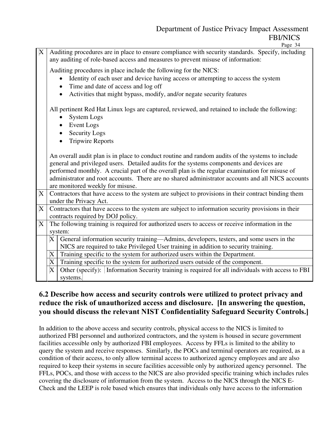Page 34

|             |                                                                                                  | $1$ agu $7 +$                                                                                                                                                                         |  |
|-------------|--------------------------------------------------------------------------------------------------|---------------------------------------------------------------------------------------------------------------------------------------------------------------------------------------|--|
| X           |                                                                                                  | Auditing procedures are in place to ensure compliance with security standards. Specify, including<br>any auditing of role-based access and measures to prevent misuse of information: |  |
|             |                                                                                                  | Auditing procedures in place include the following for the NICS:                                                                                                                      |  |
|             |                                                                                                  | Identity of each user and device having access or attempting to access the system<br>$\bullet$                                                                                        |  |
|             |                                                                                                  | Time and date of access and log off                                                                                                                                                   |  |
|             |                                                                                                  |                                                                                                                                                                                       |  |
|             |                                                                                                  | Activities that might bypass, modify, and/or negate security features<br>$\bullet$                                                                                                    |  |
|             | All pertinent Red Hat Linux logs are captured, reviewed, and retained to include the following:  |                                                                                                                                                                                       |  |
|             |                                                                                                  | <b>System Logs</b>                                                                                                                                                                    |  |
|             |                                                                                                  | <b>Event Logs</b>                                                                                                                                                                     |  |
|             |                                                                                                  |                                                                                                                                                                                       |  |
|             |                                                                                                  | <b>Security Logs</b>                                                                                                                                                                  |  |
|             |                                                                                                  | <b>Tripwire Reports</b>                                                                                                                                                               |  |
|             | An overall audit plan is in place to conduct routine and random audits of the systems to include |                                                                                                                                                                                       |  |
|             | general and privileged users. Detailed audits for the systems components and devices are         |                                                                                                                                                                                       |  |
|             |                                                                                                  | performed monthly. A crucial part of the overall plan is the regular examination for misuse of                                                                                        |  |
|             |                                                                                                  | administrator and root accounts. There are no shared administrator accounts and all NICS accounts                                                                                     |  |
|             |                                                                                                  | are monitored weekly for misuse.                                                                                                                                                      |  |
| $\mathbf X$ |                                                                                                  | Contractors that have access to the system are subject to provisions in their contract binding them                                                                                   |  |
|             |                                                                                                  | under the Privacy Act.                                                                                                                                                                |  |
| $\mathbf X$ |                                                                                                  | Contractors that have access to the system are subject to information security provisions in their                                                                                    |  |
|             |                                                                                                  | contracts required by DOJ policy.                                                                                                                                                     |  |
| X           |                                                                                                  | The following training is required for authorized users to access or receive information in the                                                                                       |  |
|             |                                                                                                  | system:                                                                                                                                                                               |  |
|             |                                                                                                  | $X$ General information security training—Admins, developers, testers, and some users in the                                                                                          |  |
|             |                                                                                                  | NICS are required to take Privileged User training in addition to security training.                                                                                                  |  |
|             | X                                                                                                |                                                                                                                                                                                       |  |
|             |                                                                                                  | Training specific to the system for authorized users within the Department.                                                                                                           |  |
|             | X                                                                                                | Training specific to the system for authorized users outside of the component.                                                                                                        |  |
|             | X                                                                                                | Other (specify): Information Security training is required for all individuals with access to FBI                                                                                     |  |
|             |                                                                                                  | systems.                                                                                                                                                                              |  |

### **6.2 Describe how access and security controls were utilized to protect privacy and reduce the risk of unauthorized access and disclosure. [In answering the question, you should discuss the relevant NIST Confidentiality Safeguard Security Controls.]**

In addition to the above access and security controls, physical access to the NICS is limited to authorized FBI personnel and authorized contractors, and the system is housed in secure government facilities accessible only by authorized FBI employees. Access by FFLs is limited to the ability to query the system and receive responses. Similarly, the POCs and terminal operators are required, as a condition of their access, to only allow terminal access to authorized agency employees and are also required to keep their systems in secure facilities accessible only by authorized agency personnel. The FFLs, POCs, and those with access to the NICS are also provided specific training which includes rules covering the disclosure of information from the system. Access to the NICS through the NICS E-Check and the LEEP is role based which ensures that individuals only have access to the information